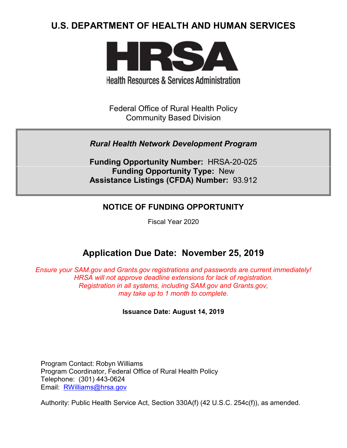# **U.S. DEPARTMENT OF HEALTH AND HUMAN SERVICES**



**Health Resources & Services Administration** 

Federal Office of Rural Health Policy Community Based Division

# *Rural Health Network Development Program*

**Funding Opportunity Number:** HRSA-20-025 **Funding Opportunity Type:** New **Assistance Listings (CFDA) Number:** 93.912

# **NOTICE OF FUNDING OPPORTUNITY**

Fiscal Year 2020

# **Application Due Date: November 25, 2019**

*Ensure your SAM.gov and Grants.gov registrations and passwords are current immediately! HRSA will not approve deadline extensions for lack of registration. Registration in all systems, including SAM.gov and Grants.gov, may take up to 1 month to complete.*

**Issuance Date: August 14, 2019**

Program Contact: Robyn Williams Program Coordinator, Federal Office of Rural Health Policy Telephone: (301) 443-0624 Email: [RWilliams@hrsa.gov](mailto:RWilliams@hrsa.gov)

Authority: Public Health Service Act, Section 330A(f) (42 U.S.C. 254c(f)), as amended.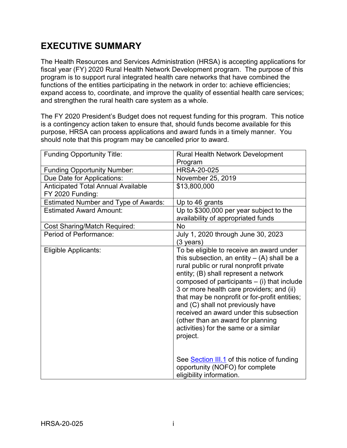# **EXECUTIVE SUMMARY**

The Health Resources and Services Administration (HRSA) is accepting applications for fiscal year (FY) 2020 Rural Health Network Development program. The purpose of this program is to support rural integrated health care networks that have combined the functions of the entities participating in the network in order to: achieve efficiencies; expand access to, coordinate, and improve the quality of essential health care services; and strengthen the rural health care system as a whole.

The FY 2020 President's Budget does not request funding for this program. This notice is a contingency action taken to ensure that, should funds become available for this purpose, HRSA can process applications and award funds in a timely manner. You should note that this program may be cancelled prior to award.

| <b>Funding Opportunity Title:</b>           | <b>Rural Health Network Development</b>                                                                                                                                                                                                                                                                                                                                                                                                                                                                |
|---------------------------------------------|--------------------------------------------------------------------------------------------------------------------------------------------------------------------------------------------------------------------------------------------------------------------------------------------------------------------------------------------------------------------------------------------------------------------------------------------------------------------------------------------------------|
|                                             | Program                                                                                                                                                                                                                                                                                                                                                                                                                                                                                                |
| <b>Funding Opportunity Number:</b>          | <b>HRSA-20-025</b>                                                                                                                                                                                                                                                                                                                                                                                                                                                                                     |
| Due Date for Applications:                  | November 25, 2019                                                                                                                                                                                                                                                                                                                                                                                                                                                                                      |
| <b>Anticipated Total Annual Available</b>   | \$13,800,000                                                                                                                                                                                                                                                                                                                                                                                                                                                                                           |
| FY 2020 Funding:                            |                                                                                                                                                                                                                                                                                                                                                                                                                                                                                                        |
| <b>Estimated Number and Type of Awards:</b> | Up to 46 grants                                                                                                                                                                                                                                                                                                                                                                                                                                                                                        |
| <b>Estimated Award Amount:</b>              | Up to \$300,000 per year subject to the                                                                                                                                                                                                                                                                                                                                                                                                                                                                |
|                                             | availability of appropriated funds                                                                                                                                                                                                                                                                                                                                                                                                                                                                     |
| <b>Cost Sharing/Match Required:</b>         | <b>No</b>                                                                                                                                                                                                                                                                                                                                                                                                                                                                                              |
| Period of Performance:                      | July 1, 2020 through June 30, 2023                                                                                                                                                                                                                                                                                                                                                                                                                                                                     |
|                                             | (3 years)                                                                                                                                                                                                                                                                                                                                                                                                                                                                                              |
| Eligible Applicants:                        | To be eligible to receive an award under<br>this subsection, an entity $-$ (A) shall be a<br>rural public or rural nonprofit private<br>entity; (B) shall represent a network<br>composed of participants $-$ (i) that include<br>3 or more health care providers; and (ii)<br>that may be nonprofit or for-profit entities;<br>and (C) shall not previously have<br>received an award under this subsection<br>(other than an award for planning<br>activities) for the same or a similar<br>project. |
|                                             | See Section III.1 of this notice of funding<br>opportunity (NOFO) for complete<br>eligibility information.                                                                                                                                                                                                                                                                                                                                                                                             |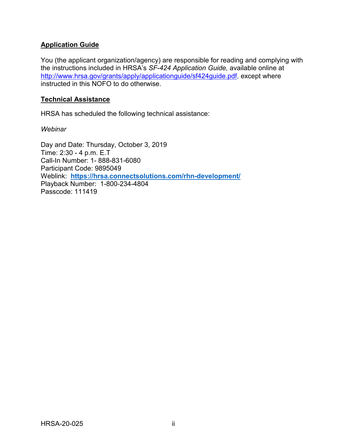# **Application Guide**

You (the applicant organization/agency) are responsible for reading and complying with the instructions included in HRSA's *SF-424 Application Guide,* available online at [http://www.hrsa.gov/grants/apply/applicationguide/sf424guide.pdf,](http://www.hrsa.gov/grants/apply/applicationguide/sf424guide.pdf) except where instructed in this NOFO to do otherwise.

# **Technical Assistance**

HRSA has scheduled the following technical assistance:

*Webinar*

Day and Date: Thursday, October 3, 2019 Time: 2:30 - 4 p.m. E.T Call-In Number: 1- 888-831-6080 Participant Code: 9895049 Weblink: **<https://hrsa.connectsolutions.com/rhn-development/>** Playback Number: 1-800-234-4804 Passcode: 111419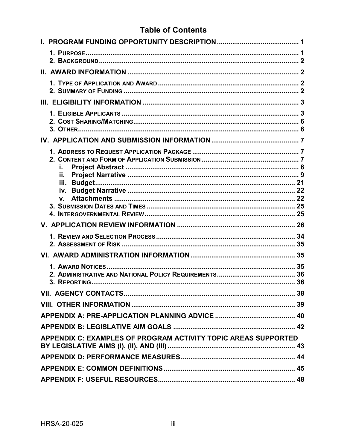# **Table of Contents**

| i.<br>ii.                                                      |  |
|----------------------------------------------------------------|--|
|                                                                |  |
|                                                                |  |
|                                                                |  |
|                                                                |  |
|                                                                |  |
|                                                                |  |
|                                                                |  |
|                                                                |  |
| APPENDIX C: EXAMPLES OF PROGRAM ACTIVITY TOPIC AREAS SUPPORTED |  |
|                                                                |  |
|                                                                |  |
|                                                                |  |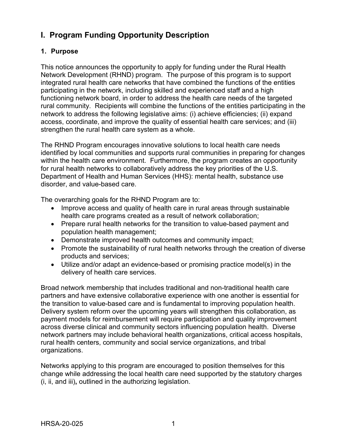# <span id="page-4-0"></span>**I. Program Funding Opportunity Description**

# <span id="page-4-1"></span>**1. Purpose**

This notice announces the opportunity to apply for funding under the Rural Health Network Development (RHND) program. The purpose of this program is to support integrated rural health care networks that have combined the functions of the entities participating in the network, including skilled and experienced staff and a high functioning network board, in order to address the health care needs of the targeted rural community. Recipients will combine the functions of the entities participating in the network to address the following legislative aims: (i) achieve efficiencies; (ii) expand access, coordinate, and improve the quality of essential health care services; and (iii) strengthen the rural health care system as a whole.

The RHND Program encourages innovative solutions to local health care needs identified by local communities and supports rural communities in preparing for changes within the health care environment. Furthermore, the program creates an opportunity for rural health networks to collaboratively address the key priorities of the U.S. Department of Health and Human Services (HHS): mental health, substance use disorder, and value-based care.

The overarching goals for the RHND Program are to:

- Improve access and quality of health care in rural areas through sustainable health care programs created as a result of network collaboration;
- Prepare rural health networks for the transition to value-based payment and population health management;
- Demonstrate improved health outcomes and community impact;
- Promote the sustainability of rural health networks through the creation of diverse products and services;
- Utilize and/or adapt an evidence-based or promising practice model(s) in the delivery of health care services.

Broad network membership that includes traditional and non-traditional health care partners and have extensive collaborative experience with one another is essential for the transition to value-based care and is fundamental to improving population health. Delivery system reform over the upcoming years will strengthen this collaboration, as payment models for reimbursement will require participation and quality improvement across diverse clinical and community sectors influencing population health. Diverse network partners may include behavioral health organizations, critical access hospitals, rural health centers, community and social service organizations, and tribal organizations.

Networks applying to this program are encouraged to position themselves for this change while addressing the local health care need supported by the statutory charges (i, ii, and iii)**,** outlined in the authorizing legislation.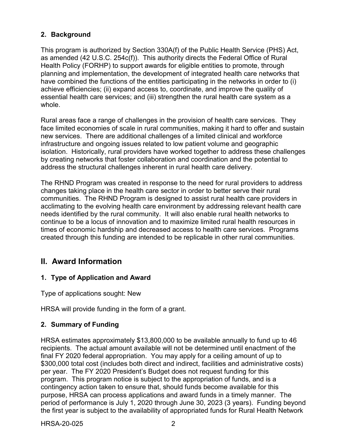# <span id="page-5-0"></span>**2. Background**

This program is authorized by Section 330A(f) of the Public Health Service (PHS) Act, as amended (42 U.S.C. 254c(f)). This authority directs the Federal Office of Rural Health Policy (FORHP) to support awards for eligible entities to promote, through planning and implementation, the development of integrated health care networks that have combined the functions of the entities participating in the networks in order to (i) achieve efficiencies; (ii) expand access to, coordinate, and improve the quality of essential health care services; and (iii) strengthen the rural health care system as a whole.

Rural areas face a range of challenges in the provision of health care services. They face limited economies of scale in rural communities, making it hard to offer and sustain new services. There are additional challenges of a limited clinical and workforce infrastructure and ongoing issues related to low patient volume and geographic isolation. Historically, rural providers have worked together to address these challenges by creating networks that foster collaboration and coordination and the potential to address the structural challenges inherent in rural health care delivery.

The RHND Program was created in response to the need for rural providers to address changes taking place in the health care sector in order to better serve their rural communities. The RHND Program is designed to assist rural health care providers in acclimating to the evolving health care environment by addressing relevant health care needs identified by the rural community. It will also enable rural health networks to continue to be a locus of innovation and to maximize limited rural health resources in times of economic hardship and decreased access to health care services. Programs created through this funding are intended to be replicable in other rural communities.

# <span id="page-5-1"></span>**II. Award Information**

# <span id="page-5-2"></span>**1. Type of Application and Award**

Type of applications sought: New

HRSA will provide funding in the form of a grant.

# <span id="page-5-3"></span>**2. Summary of Funding**

HRSA estimates approximately \$13,800,000 to be available annually to fund up to 46 recipients. The actual amount available will not be determined until enactment of the final FY 2020 federal appropriation. You may apply for a ceiling amount of up to \$300,000 total cost (includes both direct and indirect, facilities and administrative costs) per year. The FY 2020 President's Budget does not request funding for this program. This program notice is subject to the appropriation of funds, and is a contingency action taken to ensure that, should funds become available for this purpose, HRSA can process applications and award funds in a timely manner. The period of performance is July 1, 2020 through June 30, 2023 (3 years). Funding beyond the first year is subject to the availability of appropriated funds for Rural Health Network

HRSA-20-025 2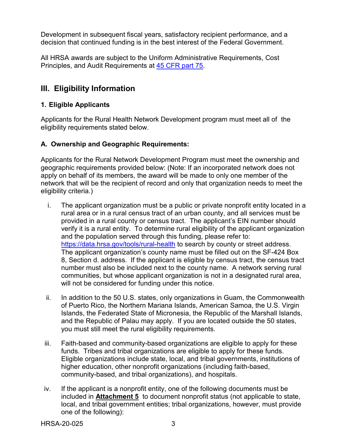Development in subsequent fiscal years, satisfactory recipient performance, and a decision that continued funding is in the best interest of the Federal Government.

All HRSA awards are subject to the Uniform Administrative Requirements, Cost Principles, and Audit Requirements at [45 CFR part 75.](http://www.ecfr.gov/cgi-bin/retrieveECFR?gp=1&SID=4d52364ec83fab994c665943dadf9cf7&ty=HTML&h=L&r=PART&n=pt45.1.75)

# <span id="page-6-0"></span>**III. Eligibility Information**

# <span id="page-6-1"></span>**1. Eligible Applicants**

Applicants for the Rural Health Network Development program must meet all of the eligibility requirements stated below.

# **A. Ownership and Geographic Requirements:**

Applicants for the Rural Network Development Program must meet the ownership and geographic requirements provided below: (Note: If an incorporated network does not apply on behalf of its members, the award will be made to only one member of the network that will be the recipient of record and only that organization needs to meet the eligibility criteria.)

- i. The applicant organization must be a public or private nonprofit entity located in a rural area or in a rural census tract of an urban county, and all services must be provided in a rural county or census tract. The applicant's EIN number should verify it is a rural entity. To determine rural eligibility of the applicant organization and the population served through this funding, please refer to: <https://data.hrsa.gov/tools/rural-health> to search by county or street address. The applicant organization's county name must be filled out on the SF-424 Box 8, Section d. address. If the applicant is eligible by census tract, the census tract number must also be included next to the county name. A network serving rural communities, but whose applicant organization is not in a designated rural area, will not be considered for funding under this notice.
- ii. In addition to the 50 U.S. states, only organizations in Guam, the Commonwealth of Puerto Rico, the Northern Mariana Islands, American Samoa, the U.S. Virgin Islands, the Federated State of Micronesia, the Republic of the Marshall Islands, and the Republic of Palau may apply. If you are located outside the 50 states, you must still meet the rural eligibility requirements.
- iii. Faith-based and community-based organizations are eligible to apply for these funds. Tribes and tribal organizations are eligible to apply for these funds. Eligible organizations include state, local, and tribal governments, institutions of higher education, other nonprofit organizations (including faith-based, community-based, and tribal organizations), and hospitals.
- iv. If the applicant is a nonprofit entity, one of the following documents must be included in **Attachment 5** to document nonprofit status (not applicable to state, local, and tribal government entities; tribal organizations, however, must provide one of the following):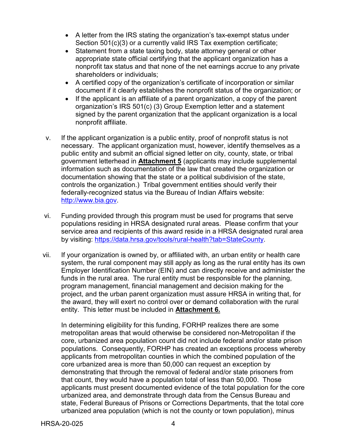- A letter from the IRS stating the organization's tax-exempt status under Section 501(c)(3) or a currently valid IRS Tax exemption certificate;
- Statement from a state taxing body, state attorney general or other appropriate state official certifying that the applicant organization has a nonprofit tax status and that none of the net earnings accrue to any private shareholders or individuals;
- A certified copy of the organization's certificate of incorporation or similar document if it clearly establishes the nonprofit status of the organization; or
- If the applicant is an affiliate of a parent organization, a copy of the parent organization's IRS 501(c) (3) Group Exemption letter and a statement signed by the parent organization that the applicant organization is a local nonprofit affiliate.
- v. If the applicant organization is a public entity, proof of nonprofit status is not necessary. The applicant organization must, however, identify themselves as a public entity and submit an official signed letter on city, county, state, or tribal government letterhead in **Attachment 5** (applicants may include supplemental information such as documentation of the law that created the organization or documentation showing that the state or a political subdivision of the state, controls the organization.) Tribal government entities should verify their federally-recognized status via the Bureau of Indian Affairs website: [http://www.bia.gov.](http://www.bia.gov/)
- vi. Funding provided through this program must be used for programs that serve populations residing in HRSA designated rural areas. Please confirm that your service area and recipients of this award reside in a HRSA designated rural area by visiting: [https://data.hrsa.gov/tools/rural-health?tab=StateCounty.](https://data.hrsa.gov/tools/rural-health?tab=StateCounty)
- vii. If your organization is owned by, or affiliated with, an urban entity or health care system, the rural component may still apply as long as the rural entity has its own Employer Identification Number (EIN) and can directly receive and administer the funds in the rural area. The rural entity must be responsible for the planning, program management, financial management and decision making for the project, and the urban parent organization must assure HRSA in writing that, for the award, they will exert no control over or demand collaboration with the rural entity. This letter must be included in **Attachment 6.**

In determining eligibility for this funding, FORHP realizes there are some metropolitan areas that would otherwise be considered non-Metropolitan if the core, urbanized area population count did not include federal and/or state prison populations. Consequently, FORHP has created an exceptions process whereby applicants from metropolitan counties in which the combined population of the core urbanized area is more than 50,000 can request an exception by demonstrating that through the removal of federal and/or state prisoners from that count, they would have a population total of less than 50,000. Those applicants must present documented evidence of the total population for the core urbanized area, and demonstrate through data from the Census Bureau and state, Federal Bureaus of Prisons or Corrections Departments, that the total core urbanized area population (which is not the county or town population), minus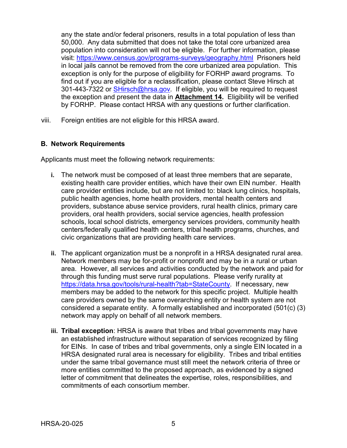any the state and/or federal prisoners, results in a total population of less than 50,000. Any data submitted that does not take the total core urbanized area population into consideration will not be eligible. For further information, please visit: <https://www.census.gov/programs-surveys/geography.html> Prisoners held in local jails cannot be removed from the core urbanized area population. This exception is only for the purpose of eligibility for FORHP award programs. To find out if you are eligible for a reclassification, please contact Steve Hirsch at 301-443-7322 or [SHirsch@hrsa.gov.](mailto:SHirsch@hrsa.gov) If eligible, you will be required to request the exception and present the data in **Attachment 14.** Eligibility will be verified by FORHP. Please contact HRSA with any questions or further clarification.

viii. Foreign entities are not eligible for this HRSA award.

#### **B. Network Requirements**

Applicants must meet the following network requirements:

- **i.** The network must be composed of at least three members that are separate, existing health care provider entities, which have their own EIN number. Health care provider entities include, but are not limited to: black lung clinics, hospitals, public health agencies, home health providers, mental health centers and providers, substance abuse service providers, rural health clinics, primary care providers, oral health providers, social service agencies, health profession schools, local school districts, emergency services providers, community health centers/federally qualified health centers, tribal health programs, churches, and civic organizations that are providing health care services.
- **ii.** The applicant organization must be a nonprofit in a HRSA designated rural area. Network members may be for-profit or nonprofit and may be in a rural or urban area. However, all services and activities conducted by the network and paid for through this funding must serve rural populations. Please verify rurality at [https://data.hrsa.gov/tools/rural-health?tab=StateCounty.](https://data.hrsa.gov/tools/rural-health?tab=StateCounty) If necessary, new members may be added to the network for this specific project. Multiple health care providers owned by the same overarching entity or health system are not considered a separate entity. A formally established and incorporated (501(c) (3) network may apply on behalf of all network members.
- **iii. Tribal exception**: HRSA is aware that tribes and tribal governments may have an established infrastructure without separation of services recognized by filing for EINs. In case of tribes and tribal governments, only a single EIN located in a HRSA designated rural area is necessary for eligibility. Tribes and tribal entities under the same tribal governance must still meet the network criteria of three or more entities committed to the proposed approach, as evidenced by a signed letter of commitment that delineates the expertise, roles, responsibilities, and commitments of each consortium member.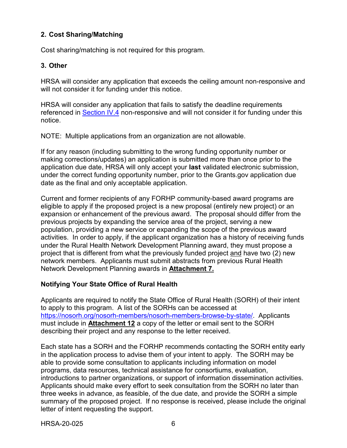# <span id="page-9-0"></span>**2. Cost Sharing/Matching**

Cost sharing/matching is not required for this program.

# <span id="page-9-1"></span>**3. Other**

HRSA will consider any application that exceeds the ceiling amount non-responsive and will not consider it for funding under this notice.

HRSA will consider any application that fails to satisfy the deadline requirements referenced in Section IV.4 non-responsive and will not consider it for funding under this notice.

NOTE: Multiple applications from an organization are not allowable.

If for any reason (including submitting to the wrong funding opportunity number or making corrections/updates) an application is submitted more than once prior to the application due date, HRSA will only accept your **last** validated electronic submission, under the correct funding opportunity number, prior to the Grants.gov application due date as the final and only acceptable application.

Current and former recipients of any FORHP community-based award programs are eligible to apply if the proposed project is a new proposal (entirely new project) or an expansion or enhancement of the previous award. The proposal should differ from the previous projects by expanding the service area of the project, serving a new population, providing a new service or expanding the scope of the previous award activities. In order to apply, if the applicant organization has a history of receiving funds under the Rural Health Network Development Planning award, they must propose a project that is different from what the previously funded project and have two (2) new network members. Applicants must submit abstracts from previous Rural Health Network Development Planning awards in **Attachment 7.**

# **Notifying Your State Office of Rural Health**

Applicants are required to notify the State Office of Rural Health (SORH) of their intent to apply to this program. A list of the SORHs can be accessed at [https://nosorh.org/nosorh-members/nosorh-members-browse-by-state/.](https://nosorh.org/nosorh-members/nosorh-members-browse-by-state/) Applicants must include in **Attachment 12** a copy of the letter or email sent to the SORH describing their project and any response to the letter received.

Each state has a SORH and the FORHP recommends contacting the SORH entity early in the application process to advise them of your intent to apply. The SORH may be able to provide some consultation to applicants including information on model programs, data resources, technical assistance for consortiums, evaluation, introductions to partner organizations, or support of information dissemination activities. Applicants should make every effort to seek consultation from the SORH no later than three weeks in advance, as feasible, of the due date, and provide the SORH a simple summary of the proposed project. If no response is received, please include the original letter of intent requesting the support.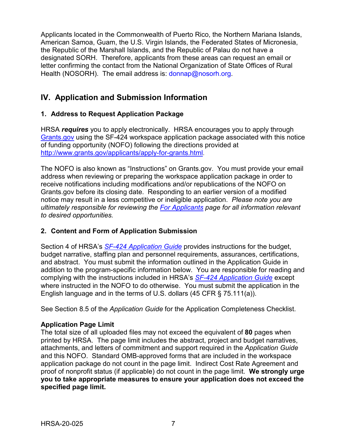Applicants located in the Commonwealth of Puerto Rico, the Northern Mariana Islands, American Samoa, Guam, the U.S. Virgin Islands, the Federated States of Micronesia, the Republic of the Marshall Islands, and the Republic of Palau do not have a designated SORH. Therefore, applicants from these areas can request an email or letter confirming the contact from the National Organization of State Offices of Rural Health (NOSORH). The email address is: donnap@nosorh.org.

# <span id="page-10-0"></span>**IV. Application and Submission Information**

# <span id="page-10-1"></span>**1. Address to Request Application Package**

HRSA *requires* you to apply electronically. HRSA encourages you to apply through [Grants.gov](https://www.grants.gov/) using the SF-424 workspace application package associated with this notice of funding opportunity (NOFO) following the directions provided at [http://www.grants.gov/applicants/apply-for-grants.html.](http://www.grants.gov/applicants/apply-for-grants.html)

The NOFO is also known as "Instructions" on Grants.gov. You must provide your email address when reviewing or preparing the workspace application package in order to receive notifications including modifications and/or republications of the NOFO on Grants.gov before its closing date. Responding to an earlier version of a modified notice may result in a less competitive or ineligible application. *Please note you are ultimately responsible for reviewing the [For Applicants](https://www.grants.gov/web/grants/applicants.html) page for all information relevant to desired opportunities.*

# <span id="page-10-2"></span>**2. Content and Form of Application Submission**

Section 4 of HRSA's *SF-424 [Application Guide](http://www.hrsa.gov/grants/apply/applicationguide/sf424guide.pdf)* provides instructions for the budget, budget narrative, staffing plan and personnel requirements, assurances, certifications, and abstract. You must submit the information outlined in the Application Guide in addition to the program-specific information below. You are responsible for reading and complying with the instructions included in HRSA's *SF-424 [Application Guide](http://www.hrsa.gov/grants/apply/applicationguide/sf424guide.pdf)* except where instructed in the NOFO to do otherwise. You must submit the application in the English language and in the terms of U.S. dollars (45 CFR § 75.111(a)).

See Section 8.5 of the *Application Guide* for the Application Completeness Checklist.

# **Application Page Limit**

The total size of all uploaded files may not exceed the equivalent of **80** pages when printed by HRSA. The page limit includes the abstract, project and budget narratives, attachments, and letters of commitment and support required in the *Application Guide* and this NOFO. Standard OMB-approved forms that are included in the workspace application package do not count in the page limit. Indirect Cost Rate Agreement and proof of nonprofit status (if applicable) do not count in the page limit. **We strongly urge you to take appropriate measures to ensure your application does not exceed the specified page limit.**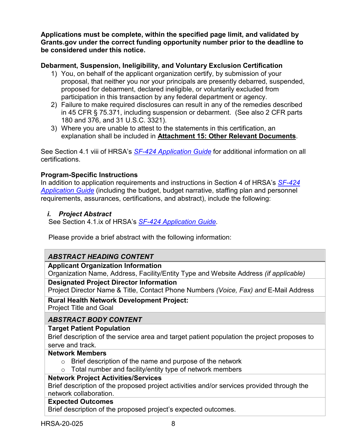**Applications must be complete, within the specified page limit, and validated by Grants.gov under the correct funding opportunity number prior to the deadline to be considered under this notice.**

# **Debarment, Suspension, Ineligibility, and Voluntary Exclusion Certification**

- 1) You, on behalf of the applicant organization certify, by submission of your proposal, that neither you nor your principals are presently debarred, suspended, proposed for debarment, declared ineligible, or voluntarily excluded from participation in this transaction by any federal department or agency.
- 2) Failure to make required disclosures can result in any of the remedies described in 45 CFR § 75.371, including suspension or debarment. (See also 2 CFR parts 180 and 376, and 31 U.S.C. 3321).
- 3) Where you are unable to attest to the statements in this certification, an explanation shall be included in **Attachment 15: Other Relevant Documents**.

See Section 4.1 viii of HRSA's *SF-424 [Application Guide](http://www.hrsa.gov/grants/apply/applicationguide/sf424guide.pdf)* for additional information on all certifications.

# **Program-Specific Instructions**

In addition to application requirements and instructions in Section 4 of HRSA's *[SF-424](http://www.hrsa.gov/grants/apply/applicationguide/sf424guide.pdf) [Application Guide](http://www.hrsa.gov/grants/apply/applicationguide/sf424guide.pdf)* (including the budget, budget narrative, staffing plan and personnel requirements, assurances, certifications, and abstract), include the following:

# <span id="page-11-0"></span>*i. Project Abstract*

See Section 4.1.ix of HRSA's *SF-424 [Application Guide.](http://www.hrsa.gov/grants/apply/applicationguide/sf424guide.pdf)*

Please provide a brief abstract with the following information:

# *ABSTRACT HEADING CONTENT*

## **Applicant Organization Information**

Organization Name, Address, Facility/Entity Type and Website Address *(if applicable)*

## **Designated Project Director Information**

Project Director Name & Title, Contact Phone Numbers *(Voice, Fax) and* E-Mail Address

# **Rural Health Network Development Project:**

Project Title and Goal

# *ABSTRACT BODY CONTENT*

# **Target Patient Population**

Brief description of the service area and target patient population the project proposes to serve and track.

## **Network Members**

- $\circ$  Brief description of the name and purpose of the network
- $\circ$  Total number and facility/entity type of network members

## **Network Project Activities/Services**

Brief description of the proposed project activities and/or services provided through the network collaboration.

## **Expected Outcomes**

Brief description of the proposed project's expected outcomes.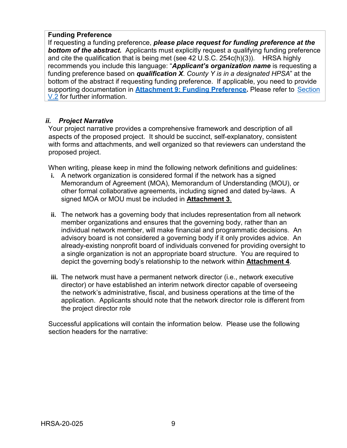# **Funding Preference**

If requesting a funding preference, *please place request for funding preference at the*  **bottom of the abstract.** Applicants must explicitly request a qualifying funding preference and cite the qualification that is being met (see 42 U.S.C. 254c(h)(3)). HRSA highly recommends you include this language: "*Applicant's organization name* is requesting a funding preference based on *qualification X*. *County Y is in a designated HPSA*" at the bottom of the abstract if requesting funding preference. If applicable, you need to provide supporting documentation in **Attachment 9: Funding Preference.** Please refer to Section V.2 for further information.

# <span id="page-12-0"></span>*ii. Project Narrative*

Your project narrative provides a comprehensive framework and description of all aspects of the proposed project. It should be succinct, self-explanatory, consistent with forms and attachments, and well organized so that reviewers can understand the proposed project.

When writing, please keep in mind the following network definitions and guidelines:

- **i.** A network organization is considered formal if the network has a signed Memorandum of Agreement (MOA), Memorandum of Understanding (MOU), or other formal collaborative agreements, including signed and dated by-laws. A signed MOA or MOU must be included in **Attachment 3**.
- **ii.** The network has a governing body that includes representation from all network member organizations and ensures that the governing body, rather than an individual network member, will make financial and programmatic decisions. An advisory board is not considered a governing body if it only provides advice. An already-existing nonprofit board of individuals convened for providing oversight to a single organization is not an appropriate board structure. You are required to depict the governing body's relationship to the network within **Attachment 4**.
- **iii.** The network must have a permanent network director (i.e., network executive director) or have established an interim network director capable of overseeing the network's administrative, fiscal, and business operations at the time of the application. Applicants should note that the network director role is different from the project director role

Successful applications will contain the information below. Please use the following section headers for the narrative: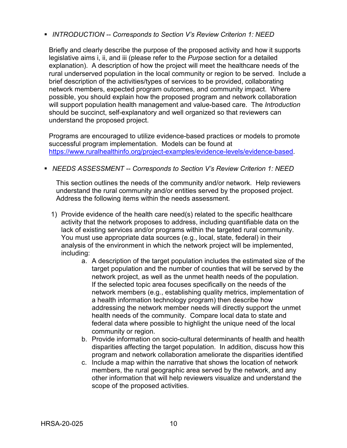*INTRODUCTION -- Corresponds to Section V's Review Criterion 1: NEED*

Briefly and clearly describe the purpose of the proposed activity and how it supports legislative aims i, ii, and iii (please refer to the *Purpose* section for a detailed explanation). A description of how the project will meet the healthcare needs of the rural underserved population in the local community or region to be served. Include a brief description of the activities/types of services to be provided, collaborating network members, expected program outcomes, and community impact. Where possible, you should explain how the proposed program and network collaboration will support population health management and value-based care. The *Introduction* should be succinct, self-explanatory and well organized so that reviewers can understand the proposed project.

Programs are encouraged to utilize evidence-based practices or models to promote successful program implementation. Models can be found at [https://www.ruralhealthinfo.org/project-examples/evidence-levels/evidence-based.](https://www.ruralhealthinfo.org/project-examples/evidence-levels/evidence-based)

*NEEDS ASSESSMENT -- Corresponds to Section V's Review Criterion 1: NEED*

This section outlines the needs of the community and/or network. Help reviewers understand the rural community and/or entities served by the proposed project. Address the following items within the needs assessment.

- 1) Provide evidence of the health care need(s) related to the specific healthcare activity that the network proposes to address, including quantifiable data on the lack of existing services and/or programs within the targeted rural community. You must use appropriate data sources (e.g., local, state, federal) in their analysis of the environment in which the network project will be implemented, including:
	- a. A description of the target population includes the estimated size of the target population and the number of counties that will be served by the network project, as well as the unmet health needs of the population. If the selected topic area focuses specifically on the needs of the network members (e.g., establishing quality metrics, implementation of a health information technology program) then describe how addressing the network member needs will directly support the unmet health needs of the community. Compare local data to state and federal data where possible to highlight the unique need of the local community or region.
	- b. Provide information on socio-cultural determinants of health and health disparities affecting the target population. In addition, discuss how this program and network collaboration ameliorate the disparities identified
	- c. Include a map within the narrative that shows the location of network members, the rural geographic area served by the network, and any other information that will help reviewers visualize and understand the scope of the proposed activities.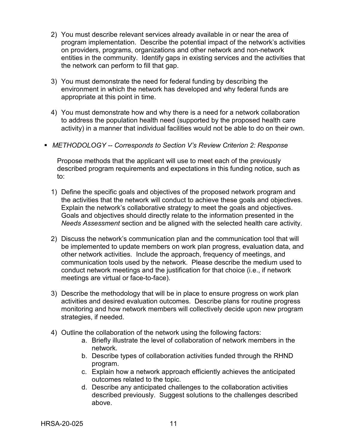- 2) You must describe relevant services already available in or near the area of program implementation. Describe the potential impact of the network's activities on providers, programs, organizations and other network and non-network entities in the community. Identify gaps in existing services and the activities that the network can perform to fill that gap.
- 3) You must demonstrate the need for federal funding by describing the environment in which the network has developed and why federal funds are appropriate at this point in time.
- 4) You must demonstrate how and why there is a need for a network collaboration to address the population health need (supported by the proposed health care activity) in a manner that individual facilities would not be able to do on their own.

## *METHODOLOGY -- Corresponds to Section V's Review Criterion 2: Response*

Propose methods that the applicant will use to meet each of the previously described program requirements and expectations in this funding notice, such as to:

- 1) Define the specific goals and objectives of the proposed network program and the activities that the network will conduct to achieve these goals and objectives. Explain the network's collaborative strategy to meet the goals and objectives. Goals and objectives should directly relate to the information presented in the *Needs Assessment* section and be aligned with the selected health care activity.
- 2) Discuss the network's communication plan and the communication tool that will be implemented to update members on work plan progress, evaluation data, and other network activities. Include the approach, frequency of meetings, and communication tools used by the network. Please describe the medium used to conduct network meetings and the justification for that choice (i.e., if network meetings are virtual or face-to-face).
- 3) Describe the methodology that will be in place to ensure progress on work plan activities and desired evaluation outcomes. Describe plans for routine progress monitoring and how network members will collectively decide upon new program strategies, if needed.
- 4) Outline the collaboration of the network using the following factors:
	- a. Briefly illustrate the level of collaboration of network members in the network.
	- b. Describe types of collaboration activities funded through the RHND program.
	- c. Explain how a network approach efficiently achieves the anticipated outcomes related to the topic.
	- d. Describe any anticipated challenges to the collaboration activities described previously. Suggest solutions to the challenges described above.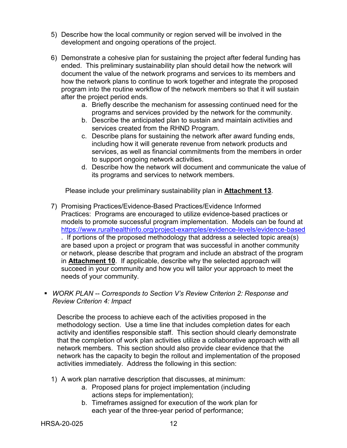- 5) Describe how the local community or region served will be involved in the development and ongoing operations of the project.
- 6) Demonstrate a cohesive plan for sustaining the project after federal funding has ended. This preliminary sustainability plan should detail how the network will document the value of the network programs and services to its members and how the network plans to continue to work together and integrate the proposed program into the routine workflow of the network members so that it will sustain after the project period ends.
	- a. Briefly describe the mechanism for assessing continued need for the programs and services provided by the network for the community.
	- b. Describe the anticipated plan to sustain and maintain activities and services created from the RHND Program.
	- c. Describe plans for sustaining the network after award funding ends, including how it will generate revenue from network products and services, as well as financial commitments from the members in order to support ongoing network activities.
	- d. Describe how the network will document and communicate the value of its programs and services to network members.

Please include your preliminary sustainability plan in **Attachment 13**.

- 7) Promising Practices/Evidence-Based Practices/Evidence Informed Practices: Programs are encouraged to utilize evidence-based practices or models to promote successful program implementation. Models can be found at <https://www.ruralhealthinfo.org/project-examples/evidence-levels/evidence-based> . If portions of the proposed methodology that address a selected topic area(s) are based upon a project or program that was successful in another community or network, please describe that program and include an abstract of the program in **Attachment 10**. If applicable, describe why the selected approach will succeed in your community and how you will tailor your approach to meet the needs of your community.
- *WORK PLAN -- Corresponds to Section V's Review Criterion 2: Response and Review Criterion 4: Impact*

Describe the process to achieve each of the activities proposed in the methodology section. Use a time line that includes completion dates for each activity and identifies responsible staff. This section should clearly demonstrate that the completion of work plan activities utilize a collaborative approach with all network members. This section should also provide clear evidence that the network has the capacity to begin the rollout and implementation of the proposed activities immediately. Address the following in this section:

- 1) A work plan narrative description that discusses, at minimum:
	- a. Proposed plans for project implementation (including actions steps for implementation);
	- b. Timeframes assigned for execution of the work plan for each year of the three-year period of performance;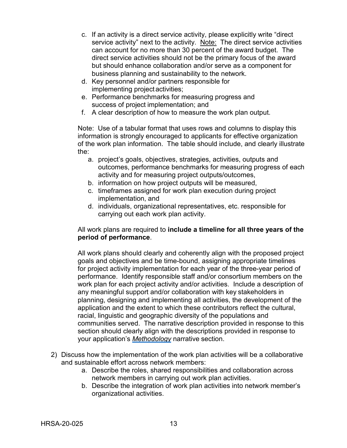- c. If an activity is a direct service activity, please explicitly write "direct service activity" next to the activity. Note: The direct service activities can account for no more than 30 percent of the award budget. The direct service activities should not be the primary focus of the award but should enhance collaboration and/or serve as a component for business planning and sustainability to the network.
- d. Key personnel and/or partners responsible for implementing projectactivities;
- e. Performance benchmarks for measuring progress and success of project implementation; and
- f. A clear description of how to measure the work plan output.

Note: Use of a tabular format that uses rows and columns to display this information is strongly encouraged to applicants for effective organization of the work plan information. The table should include, and clearly illustrate the:

- a. project's goals, objectives, strategies, activities, outputs and outcomes, performance benchmarks for measuring progress of each activity and for measuring project outputs/outcomes,
- b. information on how project outputs will be measured,
- c. timeframes assigned for work plan execution during project implementation, and
- d. individuals, organizational representatives, etc. responsible for carrying out each work plan activity.

# All work plans are required to **include a timeline for all three years of the period of performance**.

All work plans should clearly and coherently align with the proposed project goals and objectives and be time-bound, assigning appropriate timelines for project activity implementation for each year of the three-year period of performance. Identify responsible staff and/or consortium members on the work plan for each project activity and/or activities. Include a description of any meaningful support and/or collaboration with key stakeholders in planning, designing and implementing all activities, the development of the application and the extent to which these contributors reflect the cultural, racial, linguistic and geographic diversity of the populations and communities served. The narrative description provided in response to this section should clearly align with the descriptions provided in response to your application's *Methodology* narrative section.

- 2) Discuss how the implementation of the work plan activities will be a collaborative and sustainable effort across network members:
	- a. Describe the roles, shared responsibilities and collaboration across network members in carrying out work plan activities.
	- b. Describe the integration of work plan activities into network member's organizational activities.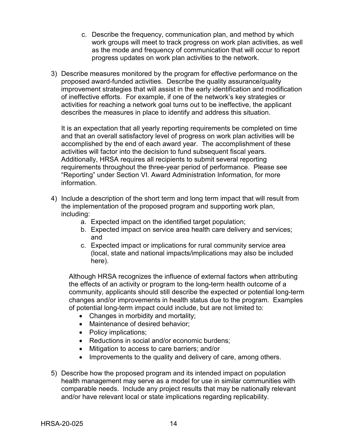- c. Describe the frequency, communication plan, and method by which work groups will meet to track progress on work plan activities, as well as the mode and frequency of communication that will occur to report progress updates on work plan activities to the network.
- 3) Describe measures monitored by the program for effective performance on the proposed award-funded activities. Describe the quality assurance/quality improvement strategies that will assist in the early identification and modification of ineffective efforts. For example, if one of the network's key strategies or activities for reaching a network goal turns out to be ineffective, the applicant describes the measures in place to identify and address this situation.

It is an expectation that all yearly reporting requirements be completed on time and that an overall satisfactory level of progress on work plan activities will be accomplished by the end of each award year. The accomplishment of these activities will factor into the decision to fund subsequent fiscal years. Additionally, HRSA requires all recipients to submit several reporting requirements throughout the three-year period of performance. Please see "Reporting" under Section VI. Award Administration Information, for more information.

- 4) Include a description of the short term and long term impact that will result from the implementation of the proposed program and supporting work plan, including:
	- a. Expected impact on the identified target population;
	- b. Expected impact on service area health care delivery and services; and
	- c. Expected impact or implications for rural community service area (local, state and national impacts/implications may also be included here).

Although HRSA recognizes the influence of external factors when attributing the effects of an activity or program to the long-term health outcome of a community, applicants should still describe the expected or potential long-term changes and/or improvements in health status due to the program. Examples of potential long-term impact could include, but are not limited to:

- Changes in morbidity and mortality;
- Maintenance of desired behavior;
- Policy implications;
- Reductions in social and/or economic burdens;
- Mitigation to access to care barriers; and/or
- Improvements to the quality and delivery of care, among others.
- 5) Describe how the proposed program and its intended impact on population health management may serve as a model for use in similar communities with comparable needs. Include any project results that may be nationally relevant and/or have relevant local or state implications regarding replicability.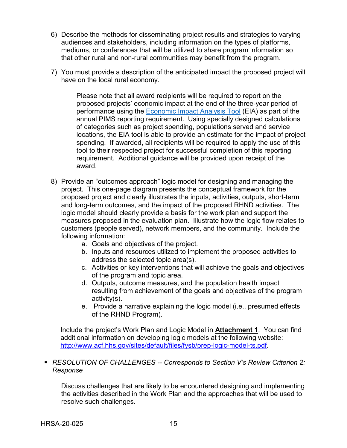- 6) Describe the methods for disseminating project results and strategies to varying audiences and stakeholders, including information on the types of platforms, mediums, or conferences that will be utilized to share program information so that other rural and non-rural communities may benefit from the program.
- 7) You must provide a description of the anticipated impact the proposed project will have on the local rural economy.

Please note that all award recipients will be required to report on the proposed projects' economic impact at the end of the three-year period of performance using the [Economic Impact Analysis Tool](https://www.ruralhealthinfo.org/econtool) (EIA) as part of the annual PIMS reporting requirement. Using specially designed calculations of categories such as project spending, populations served and service locations, the EIA tool is able to provide an estimate for the impact of project spending. If awarded, all recipients will be required to apply the use of this tool to their respected project for successful completion of this reporting requirement. Additional guidance will be provided upon receipt of the award.

- 8) Provide an "outcomes approach" logic model for designing and managing the project. This one-page diagram presents the conceptual framework for the proposed project and clearly illustrates the inputs, activities, outputs, short-term and long-term outcomes, and the impact of the proposed RHND activities. The logic model should clearly provide a basis for the work plan and support the measures proposed in the evaluation plan. Illustrate how the logic flow relates to customers (people served), network members, and the community. Include the following information:
	- a. Goals and objectives of the project.
	- b. Inputs and resources utilized to implement the proposed activities to address the selected topic area(s).
	- c. Activities or key interventions that will achieve the goals and objectives of the program and topic area.
	- d. Outputs, outcome measures, and the population health impact resulting from achievement of the goals and objectives of the program activity(s).
	- e. Provide a narrative explaining the logic model (i.e., presumed effects of the RHND Program).

Include the project's Work Plan and Logic Model in **Attachment 1**. You can find additional information on developing logic models at the following website: [http://www.acf.hhs.gov/sites/default/files/fysb/prep-logic-model-ts.pdf.](http://www.acf.hhs.gov/sites/default/files/fysb/prep-logic-model-ts.pdf)

# *RESOLUTION OF CHALLENGES -- Corresponds to Section V's Review Criterion 2: Response*

Discuss challenges that are likely to be encountered designing and implementing the activities described in the Work Plan and the approaches that will be used to resolve such challenges.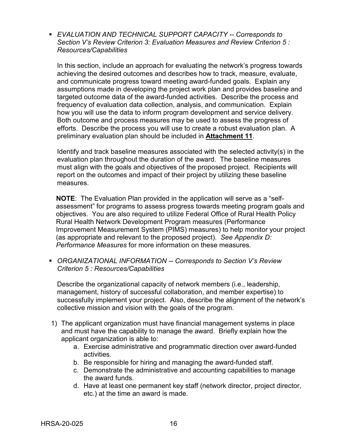*EVALUATION AND TECHNICAL SUPPORT CAPACITY -- Corresponds to Section V's Review Criterion 3: Evaluation Measures and Review Criterion 5 : Resources/Capabilities*

In this section, include an approach for evaluating the network's progress towards achieving the desired outcomes and describes how to track, measure, evaluate, and communicate progress toward meeting award-funded goals. Explain any assumptions made in developing the project work plan and provides baseline and targeted outcome data of the award-funded activities. Describe the process and frequency of evaluation data collection, analysis, and communication. Explain how you will use the data to inform program development and service delivery. Both outcome and process measures may be used to assess the progress of efforts. Describe the process you will use to create a robust evaluation plan. A preliminary evaluation plan should be included in **Attachment 11**.

Identify and track baseline measures associated with the selected activity(s) in the evaluation plan throughout the duration of the award. The baseline measures must align with the goals and objectives of the proposed project. Recipients will report on the outcomes and impact of their project by utilizing these baseline measures.

**NOTE**: The Evaluation Plan provided in the application will serve as a "selfassessment" for programs to assess progress towards meeting program goals and objectives. You are also required to utilize Federal Office of Rural Health Policy Rural Health Network Development Program measures (Performance Improvement Measurement System (PIMS) measures) to help monitor your project (as appropriate and relevant to the proposed project). *See Appendix D: Performance Measures* for more information on these measures*.*

 *ORGANIZATIONAL INFORMATION -- Corresponds to Section V's Review Criterion 5 : Resources/Capabilities*

Describe the organizational capacity of network members (i.e., leadership, management, history of successful collaboration, and member expertise) to successfully implement your project. Also, describe the alignment of the network's collective mission and vision with the goals of the program.

- 1) The applicant organization must have financial management systems in place and must have the capability to manage the award. Briefly explain how the applicant organization is able to:
	- a. Exercise administrative and programmatic direction over award-funded activities.
	- b. Be responsible for hiring and managing the award-funded staff.
	- c. Demonstrate the administrative and accounting capabilities to manage the award funds.
	- d. Have at least one permanent key staff (network director, project director, etc.) at the time an award is made.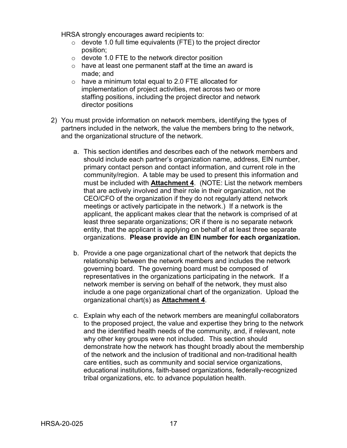HRSA strongly encourages award recipients to:

- $\circ$  devote 1.0 full time equivalents (FTE) to the project director position;
- o devote 1.0 FTE to the network director position
- o have at least one permanent staff at the time an award is made; and
- o have a minimum total equal to 2.0 FTE allocated for implementation of project activities, met across two or more staffing positions, including the project director and network director positions
- 2) You must provide information on network members, identifying the types of partners included in the network, the value the members bring to the network, and the organizational structure of the network.
	- a. This section identifies and describes each of the network members and should include each partner's organization name, address, EIN number, primary contact person and contact information, and current role in the community/region. A table may be used to present this information and must be included with **Attachment 4**. (NOTE: List the network members that are actively involved and their role in their organization, not the CEO/CFO of the organization if they do not regularly attend network meetings or actively participate in the network.) If a network is the applicant, the applicant makes clear that the network is comprised of at least three separate organizations; OR if there is no separate network entity, that the applicant is applying on behalf of at least three separate organizations. **Please provide an EIN number for each organization.**
	- b. Provide a one page organizational chart of the network that depicts the relationship between the network members and includes the network governing board. The governing board must be composed of representatives in the organizations participating in the network. If a network member is serving on behalf of the network, they must also include a one page organizational chart of the organization. Upload the organizational chart(s) as **Attachment 4**.
	- c. Explain why each of the network members are meaningful collaborators to the proposed project, the value and expertise they bring to the network and the identified health needs of the community, and, if relevant, note why other key groups were not included. This section should demonstrate how the network has thought broadly about the membership of the network and the inclusion of traditional and non-traditional health care entities, such as community and social service organizations, educational institutions, faith-based organizations, federally-recognized tribal organizations, etc. to advance population health.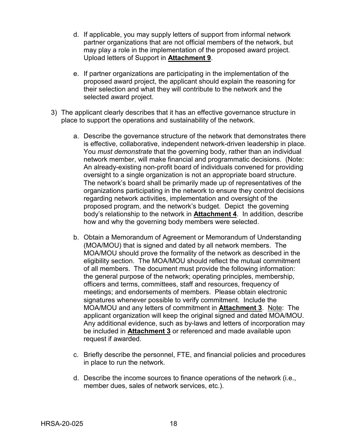- d. If applicable, you may supply letters of support from informal network partner organizations that are not official members of the network, but may play a role in the implementation of the proposed award project. Upload letters of Support in **Attachment 9**.
- e. If partner organizations are participating in the implementation of the proposed award project, the applicant should explain the reasoning for their selection and what they will contribute to the network and the selected award project.
- 3) The applicant clearly describes that it has an effective governance structure in place to support the operations and sustainability of the network.
	- a. Describe the governance structure of the network that demonstrates there is effective, collaborative, independent network-driven leadership in place. You *must demonstrate* that the governing body, rather than an individual network member, will make financial and programmatic decisions. (Note: An already-existing non-profit board of individuals convened for providing oversight to a single organization is not an appropriate board structure. The network's board shall be primarily made up of representatives of the organizations participating in the network to ensure they control decisions regarding network activities, implementation and oversight of the proposed program, and the network's budget. Depict the governing body's relationship to the network in **Attachment 4**. In addition, describe how and why the governing body members were selected.
	- b. Obtain a Memorandum of Agreement or Memorandum of Understanding (MOA/MOU) that is signed and dated by all network members. The MOA/MOU should prove the formality of the network as described in the eligibility section. The MOA/MOU should reflect the mutual commitment of all members. The document must provide the following information: the general purpose of the network; operating principles, membership, officers and terms, committees, staff and resources, frequency of meetings; and endorsements of members. Please obtain electronic signatures whenever possible to verify commitment. Include the MOA/MOU and any letters of commitment in **Attachment 3**. Note: The applicant organization will keep the original signed and dated MOA/MOU. Any additional evidence, such as by-laws and letters of incorporation may be included in **Attachment 3** or referenced and made available upon request if awarded.
	- c. Briefly describe the personnel, FTE, and financial policies and procedures in place to run the network.
	- d. Describe the income sources to finance operations of the network (i.e., member dues, sales of network services, etc.).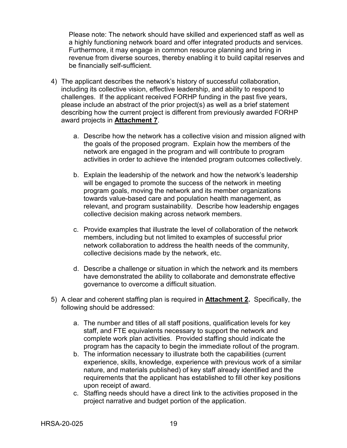Please note: The network should have skilled and experienced staff as well as a highly functioning network board and offer integrated products and services. Furthermore, it may engage in common resource planning and bring in revenue from diverse sources, thereby enabling it to build capital reserves and be financially self-sufficient.

- 4) The applicant describes the network's history of successful collaboration, including its collective vision, effective leadership, and ability to respond to challenges. If the applicant received FORHP funding in the past five years, please include an abstract of the prior project(s) as well as a brief statement describing how the current project is different from previously awarded FORHP award projects in **Attachment 7**.
	- a. Describe how the network has a collective vision and mission aligned with the goals of the proposed program. Explain how the members of the network are engaged in the program and will contribute to program activities in order to achieve the intended program outcomes collectively.
	- b. Explain the leadership of the network and how the network's leadership will be engaged to promote the success of the network in meeting program goals, moving the network and its member organizations towards value-based care and population health management, as relevant, and program sustainability. Describe how leadership engages collective decision making across network members.
	- c. Provide examples that illustrate the level of collaboration of the network members, including but not limited to examples of successful prior network collaboration to address the health needs of the community, collective decisions made by the network, etc.
	- d. Describe a challenge or situation in which the network and its members have demonstrated the ability to collaborate and demonstrate effective governance to overcome a difficult situation.
- 5) A clear and coherent staffing plan is required in **Attachment 2.** Specifically, the following should be addressed:
	- a. The number and titles of all staff positions, qualification levels for key staff, and FTE equivalents necessary to support the network and complete work plan activities. Provided staffing should indicate the program has the capacity to begin the immediate rollout of the program.
	- b. The information necessary to illustrate both the capabilities (current experience, skills, knowledge, experience with previous work of a similar nature, and materials published) of key staff already identified and the requirements that the applicant has established to fill other key positions upon receipt of award.
	- c. Staffing needs should have a direct link to the activities proposed in the project narrative and budget portion of the application.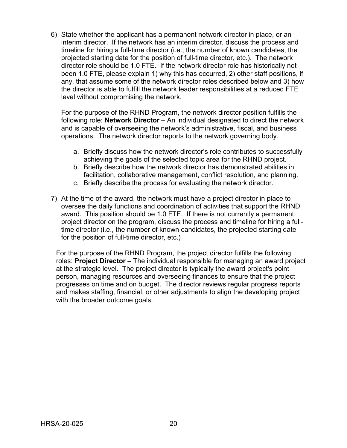6) State whether the applicant has a permanent network director in place, or an interim director. If the network has an interim director, discuss the process and timeline for hiring a full-time director (i.e., the number of known candidates, the projected starting date for the position of full-time director, etc.). The network director role should be 1.0 FTE. If the network director role has historically not been 1.0 FTE, please explain 1) why this has occurred, 2) other staff positions, if any, that assume some of the network director roles described below and 3) how the director is able to fulfill the network leader responsibilities at a reduced FTE level without compromising the network.

For the purpose of the RHND Program, the network director position fulfills the following role: **Network Director** – An individual designated to direct the network and is capable of overseeing the network's administrative, fiscal, and business operations. The network director reports to the network governing body.

- a. Briefly discuss how the network director's role contributes to successfully achieving the goals of the selected topic area for the RHND project.
- b. Briefly describe how the network director has demonstrated abilities in facilitation, collaborative management, conflict resolution, and planning.
- c. Briefly describe the process for evaluating the network director.
- 7) At the time of the award, the network must have a project director in place to oversee the daily functions and coordination of activities that support the RHND award. This position should be 1.0 FTE. If there is not currently a permanent project director on the program, discuss the process and timeline for hiring a fulltime director (i.e., the number of known candidates, the projected starting date for the position of full-time director, etc.)

For the purpose of the RHND Program, the project director fulfills the following roles: **Project Director** – The individual responsible for managing an award project at the strategic level. The project director is typically the award project's point person, managing resources and overseeing finances to ensure that the project progresses on time and on budget. The director reviews regular progress reports and makes staffing, financial, or other adjustments to align the developing project with the broader outcome goals.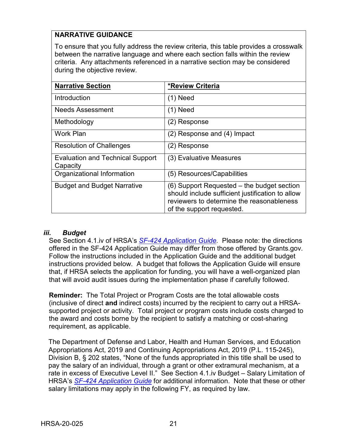# **NARRATIVE GUIDANCE**

To ensure that you fully address the review criteria, this table provides a crosswalk between the narrative language and where each section falls within the review criteria. Any attachments referenced in a narrative section may be considered during the objective review.

| <b>Narrative Section</b>                            | <b>*Review Criteria</b>                                                                                                                                                  |
|-----------------------------------------------------|--------------------------------------------------------------------------------------------------------------------------------------------------------------------------|
| Introduction                                        | $(1)$ Need                                                                                                                                                               |
| <b>Needs Assessment</b>                             | (1) Need                                                                                                                                                                 |
| Methodology                                         | (2) Response                                                                                                                                                             |
| <b>Work Plan</b>                                    | (2) Response and (4) Impact                                                                                                                                              |
| <b>Resolution of Challenges</b>                     | (2) Response                                                                                                                                                             |
| <b>Evaluation and Technical Support</b><br>Capacity | (3) Evaluative Measures                                                                                                                                                  |
| Organizational Information                          | (5) Resources/Capabilities                                                                                                                                               |
| <b>Budget and Budget Narrative</b>                  | (6) Support Requested – the budget section<br>should include sufficient justification to allow<br>reviewers to determine the reasonableness<br>of the support requested. |

## <span id="page-24-0"></span>*iii. Budget*

See Section 4.1.iv of HRSA's *SF-424 [Application Guide.](http://www.hrsa.gov/grants/apply/applicationguide/sf424guide.pdf)* Please note: the directions offered in the SF-424 Application Guide may differ from those offered by Grants.gov. Follow the instructions included in the Application Guide and the additional budget instructions provided below. A budget that follows the Application Guide will ensure that, if HRSA selects the application for funding, you will have a well-organized plan that will avoid audit issues during the implementation phase if carefully followed.

**Reminder:** The Total Project or Program Costs are the total allowable costs (inclusive of direct **and** indirect costs) incurred by the recipient to carry out a HRSAsupported project or activity. Total project or program costs include costs charged to the award and costs borne by the recipient to satisfy a matching or cost-sharing requirement, as applicable.

The Department of Defense and Labor, Health and Human Services, and Education Appropriations Act, 2019 and Continuing Appropriations Act, 2019 (P.L. 115-245), Division B, § 202 states, "None of the funds appropriated in this title shall be used to pay the salary of an individual, through a grant or other extramural mechanism, at a rate in excess of Executive Level II." See Section 4.1.iv Budget – Salary Limitation of HRSA's *SF-424 [Application Guide](http://www.hrsa.gov/grants/apply/applicationguide/sf424guide.pdf)* for additional information. Note that these or other salary limitations may apply in the following FY, as required by law.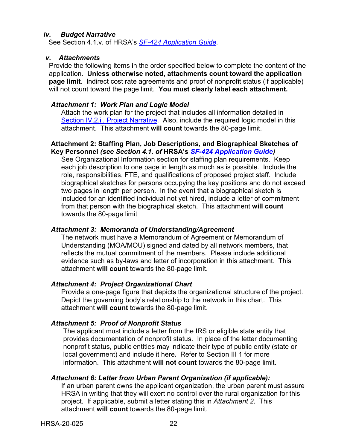#### <span id="page-25-0"></span>*iv. Budget Narrative*

See Section 4.1.v. of HRSA's *SF-424 [Application Guide.](http://www.hrsa.gov/grants/apply/applicationguide/sf424guide.pdf)*

#### <span id="page-25-1"></span>*v. Attachments*

Provide the following items in the order specified below to complete the content of the application. **Unless otherwise noted, attachments count toward the application page limit**. Indirect cost rate agreements and proof of nonprofit status (if applicable) will not count toward the page limit. **You must clearly label each attachment.**

#### *Attachment 1: Work Plan and Logic Model*

Attach the work plan for the project that includes all information detailed in Section IV.2.ii. Project Narrative. Also, include the required logic model in this attachment. This attachment **will count** towards the 80-page limit.

#### **Attachment 2: Staffing Plan, Job Descriptions, and Biographical Sketches of Key Personnel** *(see Section 4.1. of* **HRSA's** *SF-424 [Application Guide\)](http://www.hrsa.gov/grants/apply/applicationguide/sf424guide.pdf)*

See Organizational Information section for staffing plan requirements. Keep each job description to one page in length as much as is possible. Include the role, responsibilities, FTE, and qualifications of proposed project staff. Include biographical sketches for persons occupying the key positions and do not exceed two pages in length per person. In the event that a biographical sketch is included for an identified individual not yet hired, include a letter of commitment from that person with the biographical sketch. This attachment **will count** towards the 80-page limit

#### *Attachment 3: Memoranda of Understanding/Agreement*

The network must have a Memorandum of Agreement or Memorandum of Understanding (MOA/MOU) signed and dated by all network members, that reflects the mutual commitment of the members. Please include additional evidence such as by-laws and letter of incorporation in this attachment. This attachment **will count** towards the 80-page limit.

## *Attachment 4: Project Organizational Chart*

Provide a one-page figure that depicts the organizational structure of the project. Depict the governing body's relationship to the network in this chart. This attachment **will count** towards the 80-page limit.

## *Attachment 5: Proof of Nonprofit Status*

The applicant must include a letter from the IRS or eligible state entity that provides documentation of nonprofit status. In place of the letter documenting nonprofit status, public entities may indicate their type of public entity (state or local government) and include it here**.** Refer to Section III 1 for more information. This attachment **will not count** towards the 80-page limit.

## *Attachment 6: Letter from Urban Parent Organization (if applicable):*

If an urban parent owns the applicant organization, the urban parent must assure HRSA in writing that they will exert no control over the rural organization for this project. If applicable, submit a letter stating this in *Attachment 2*. This attachment **will count** towards the 80-page limit.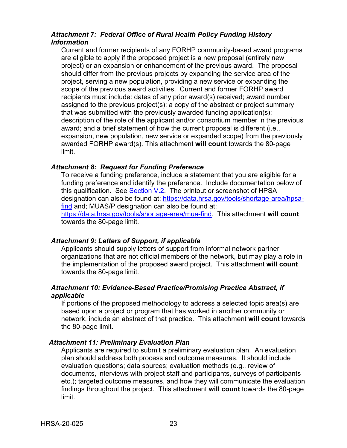# *Attachment 7: Federal Office of Rural Health Policy Funding History Information*

Current and former recipients of any FORHP community-based award programs are eligible to apply if the proposed project is a new proposal (entirely new project) or an expansion or enhancement of the previous award. The proposal should differ from the previous projects by expanding the service area of the project, serving a new population, providing a new service or expanding the scope of the previous award activities. Current and former FORHP award recipients must include: dates of any prior award(s) received; award number assigned to the previous project(s); a copy of the abstract or project summary that was submitted with the previously awarded funding application(s); description of the role of the applicant and/or consortium member in the previous award; and a brief statement of how the current proposal is different (i.e., expansion, new population, new service or expanded scope) from the previously awarded FORHP award(s). This attachment **will count** towards the 80-page limit.

#### *Attachment 8: Request for Funding Preference*

To receive a funding preference, include a statement that you are eligible for a funding preference and identify the preference. Include documentation below of this qualification. See Section V.2. The printout or screenshot of HPSA designation can also be found at: [https://data.hrsa.gov/tools/shortage-area/hpsa](https://data.hrsa.gov/tools/shortage-area/hpsa-find)[find](https://data.hrsa.gov/tools/shortage-area/hpsa-find) and; MUAS/P designation can also be found at: [https://data.hrsa.gov/tools/shortage-area/mua-find.](https://data.hrsa.gov/tools/shortage-area/mua-find) This attachment **will count**  towards the 80-page limit.

#### *Attachment 9: Letters of Support, if applicable*

Applicants should supply letters of support from informal network partner organizations that are not official members of the network, but may play a role in the implementation of the proposed award project. This attachment **will count**  towards the 80-page limit.

#### *Attachment 10: Evidence-Based Practice/Promising Practice Abstract, if applicable*

If portions of the proposed methodology to address a selected topic area(s) are based upon a project or program that has worked in another community or network, include an abstract of that practice. This attachment **will count** towards the 80-page limit.

## *Attachment 11: Preliminary Evaluation Plan*

Applicants are required to submit a preliminary evaluation plan. An evaluation plan should address both process and outcome measures. It should include evaluation questions; data sources; evaluation methods (e.g., review of documents, interviews with project staff and participants, surveys of participants etc.); targeted outcome measures, and how they will communicate the evaluation findings throughout the project. This attachment **will count** towards the 80-page limit.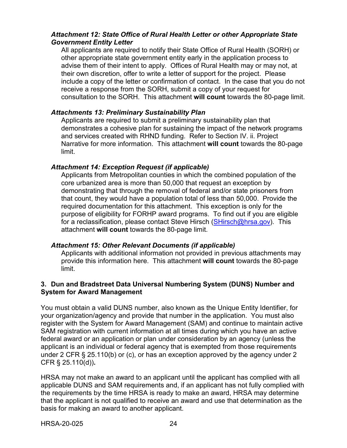# *Attachment 12: State Office of Rural Health Letter or other Appropriate State Government Entity Letter*

All applicants are required to notify their State Office of Rural Health (SORH) or other appropriate state government entity early in the application process to advise them of their intent to apply. Offices of Rural Health may or may not, at their own discretion, offer to write a letter of support for the project. Please include a copy of the letter or confirmation of contact. In the case that you do not receive a response from the SORH, submit a copy of your request for consultation to the SORH. This attachment **will count** towards the 80-page limit.

### *Attachments 13: Preliminary Sustainability Plan*

Applicants are required to submit a preliminary sustainability plan that demonstrates a cohesive plan for sustaining the impact of the network programs and services created with RHND funding. Refer to Section IV. ii. Project Narrative for more information. This attachment **will count** towards the 80-page limit.

#### *Attachment 14: Exception Request (if applicable)*

Applicants from Metropolitan counties in which the combined population of the core urbanized area is more than 50,000 that request an exception by demonstrating that through the removal of federal and/or state prisoners from that count, they would have a population total of less than 50,000. Provide the required documentation for this attachment. This exception is only for the purpose of eligibility for FORHP award programs. To find out if you are eligible for a reclassification, please contact Steve Hirsch [\(SHirsch@hrsa.gov\)](mailto:SHirsch@hrsa.gov). This attachment **will count** towards the 80-page limit.

## *Attachment 15: Other Relevant Documents (if applicable)*

Applicants with additional information not provided in previous attachments may provide this information here. This attachment **will count** towards the 80-page limit.

## **3. Dun and Bradstreet Data Universal Numbering System (DUNS) Number and System for Award Management**

You must obtain a valid DUNS number, also known as the Unique Entity Identifier, for your organization/agency and provide that number in the application. You must also register with the System for Award Management (SAM) and continue to maintain active SAM registration with current information at all times during which you have an active federal award or an application or plan under consideration by an agency (unless the applicant is an individual or federal agency that is exempted from those requirements under 2 CFR § 25.110(b) or (c), or has an exception approved by the agency under 2 CFR § 25.110(d))**.**

HRSA may not make an award to an applicant until the applicant has complied with all applicable DUNS and SAM requirements and, if an applicant has not fully complied with the requirements by the time HRSA is ready to make an award, HRSA may determine that the applicant is not qualified to receive an award and use that determination as the basis for making an award to another applicant.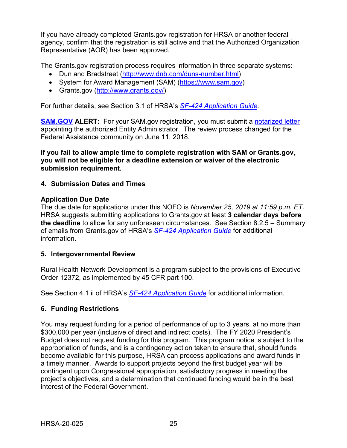If you have already completed Grants.gov registration for HRSA or another federal agency, confirm that the registration is still active and that the Authorized Organization Representative (AOR) has been approved.

The Grants.gov registration process requires information in three separate systems:

- Dun and Bradstreet [\(http://www.dnb.com/duns-number.html\)](http://www.dnb.com/duns-number.html)
- System for Award Management (SAM) [\(https://www.sam.gov\)](https://www.sam.gov/)
- Grants.gov [\(http://www.grants.gov/\)](http://www.grants.gov/)

For further details, see Section 3.1 of HRSA's *SF-424 [Application Guide.](http://www.hrsa.gov/grants/apply/applicationguide/sf424guide.pdf)*

**[SAM.GOV](http://sam.gov/) ALERT:** For your SAM.gov registration, you must submit a [notarized letter](https://www.fsd.gov/fsd-gov/answer.do?sysparm_kbid=d2e67885db0d5f00b3257d321f96194b&sysparm_search=kb0013183) appointing the authorized Entity Administrator. The review process changed for the Federal Assistance community on June 11, 2018.

**If you fail to allow ample time to complete registration with SAM or Grants.gov, you will not be eligible for a deadline extension or waiver of the electronic submission requirement.**

# <span id="page-28-0"></span>**4. Submission Dates and Times**

## **Application Due Date**

The due date for applications under this NOFO is *November 25, 2019 at 11:59 p.m. ET*. HRSA suggests submitting applications to Grants.gov at least **3 calendar days before the deadline** to allow for any unforeseen circumstances. See Section 8.2.5 – Summary of emails from Grants.gov of HRSA's *[SF-424 Application Guide](http://www.hrsa.gov/grants/apply/applicationguide/sf424guide.pdf)* for additional information.

## <span id="page-28-1"></span>**5. Intergovernmental Review**

Rural Health Network Development is a program subject to the provisions of Executive Order 12372, as implemented by 45 CFR part 100.

See Section 4.1 ii of HRSA's *SF-424 [Application Guide](http://www.hrsa.gov/grants/apply/applicationguide/sf424guide.pdf)* for additional information.

# **6. Funding Restrictions**

You may request funding for a period of performance of up to 3 years, at no more than \$300,000 per year (inclusive of direct **and** indirect costs). The FY 2020 President's Budget does not request funding for this program. This program notice is subject to the appropriation of funds, and is a contingency action taken to ensure that, should funds become available for this purpose, HRSA can process applications and award funds in a timely manner. Awards to support projects beyond the first budget year will be contingent upon Congressional appropriation, satisfactory progress in meeting the project's objectives, and a determination that continued funding would be in the best interest of the Federal Government.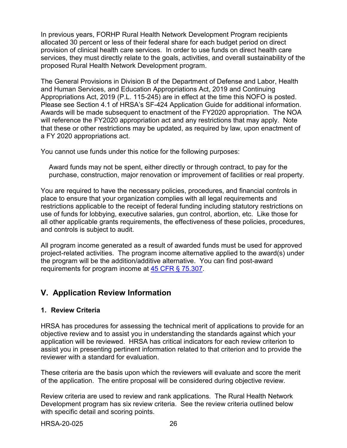In previous years, FORHP Rural Health Network Development Program recipients allocated 30 percent or less of their federal share for each budget period on direct provision of clinical health care services. In order to use funds on direct health care services, they must directly relate to the goals, activities, and overall sustainability of the proposed Rural Health Network Development program.

The General Provisions in Division B of the Department of Defense and Labor, Health and Human Services, and Education Appropriations Act, 2019 and Continuing Appropriations Act, 2019 (P.L. 115-245) are in effect at the time this NOFO is posted. Please see Section 4.1 of HRSA's SF-424 Application Guide for additional information. Awards will be made subsequent to enactment of the FY2020 appropriation. The NOA will reference the FY2020 appropriation act and any restrictions that may apply. Note that these or other restrictions may be updated, as required by law, upon enactment of a FY 2020 appropriations act.

You cannot use funds under this notice for the following purposes:

Award funds may not be spent, either directly or through contract, to pay for the purchase, construction, major renovation or improvement of facilities or real property.

You are required to have the necessary policies, procedures, and financial controls in place to ensure that your organization complies with all legal requirements and restrictions applicable to the receipt of federal funding including statutory restrictions on use of funds for lobbying, executive salaries, gun control, abortion, etc. Like those for all other applicable grants requirements, the effectiveness of these policies, procedures, and controls is subject to audit.

All program income generated as a result of awarded funds must be used for approved project-related activities. The program income alternative applied to the award(s) under the program will be the addition/additive alternative. You can find post-award requirements for program income at [45 CFR § 75.307.](https://www.ecfr.gov/cgi-bin/retrieveECFR?gp=1&SID=4d52364ec83fab994c665943dadf9cf7&ty=HTML&h=L&r=PART&n=pt45.1.75)

# <span id="page-29-0"></span>**V. Application Review Information**

# **1. Review Criteria**

HRSA has procedures for assessing the technical merit of applications to provide for an objective review and to assist you in understanding the standards against which your application will be reviewed. HRSA has critical indicators for each review criterion to assist you in presenting pertinent information related to that criterion and to provide the reviewer with a standard for evaluation.

These criteria are the basis upon which the reviewers will evaluate and score the merit of the application. The entire proposal will be considered during objective review.

Review criteria are used to review and rank applications. The Rural Health Network Development program has six review criteria. See the review criteria outlined below with specific detail and scoring points.

HRSA-20-025 26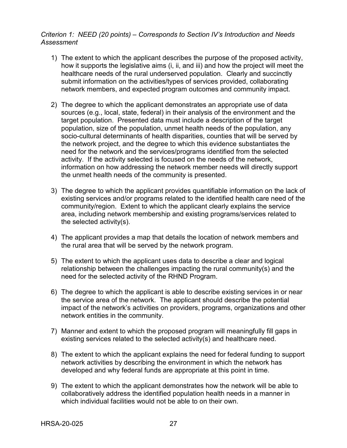# *Criterion 1: NEED (20 points) – Corresponds to Section IV's Introduction and Needs Assessment*

- 1) The extent to which the applicant describes the purpose of the proposed activity, how it supports the legislative aims (i, ii, and iii) and how the project will meet the healthcare needs of the rural underserved population. Clearly and succinctly submit information on the activities/types of services provided, collaborating network members, and expected program outcomes and community impact.
- 2) The degree to which the applicant demonstrates an appropriate use of data sources (e.g., local, state, federal) in their analysis of the environment and the target population. Presented data must include a description of the target population, size of the population, unmet health needs of the population, any socio-cultural determinants of health disparities, counties that will be served by the network project, and the degree to which this evidence substantiates the need for the network and the services/programs identified from the selected activity. If the activity selected is focused on the needs of the network, information on how addressing the network member needs will directly support the unmet health needs of the community is presented.
- 3) The degree to which the applicant provides quantifiable information on the lack of existing services and/or programs related to the identified health care need of the community/region. Extent to which the applicant clearly explains the service area, including network membership and existing programs/services related to the selected activity(s).
- 4) The applicant provides a map that details the location of network members and the rural area that will be served by the network program.
- 5) The extent to which the applicant uses data to describe a clear and logical relationship between the challenges impacting the rural community(s) and the need for the selected activity of the RHND Program.
- 6) The degree to which the applicant is able to describe existing services in or near the service area of the network. The applicant should describe the potential impact of the network's activities on providers, programs, organizations and other network entities in the community.
- 7) Manner and extent to which the proposed program will meaningfully fill gaps in existing services related to the selected activity(s) and healthcare need.
- 8) The extent to which the applicant explains the need for federal funding to support network activities by describing the environment in which the network has developed and why federal funds are appropriate at this point in time.
- 9) The extent to which the applicant demonstrates how the network will be able to collaboratively address the identified population health needs in a manner in which individual facilities would not be able to on their own.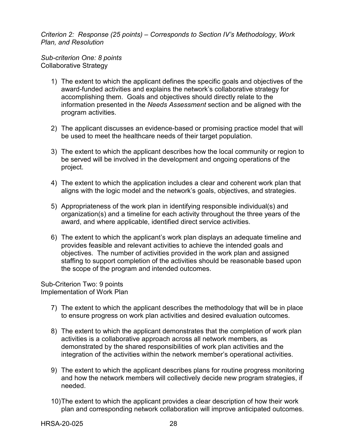*Criterion 2: Response (25 points) – Corresponds to Section IV's Methodology, Work Plan, and Resolution* 

*Sub-criterion One: 8 points* Collaborative Strategy

- 1) The extent to which the applicant defines the specific goals and objectives of the award-funded activities and explains the network's collaborative strategy for accomplishing them. Goals and objectives should directly relate to the information presented in the *Needs Assessment* section and be aligned with the program activities.
- 2) The applicant discusses an evidence-based or promising practice model that will be used to meet the healthcare needs of their target population.
- 3) The extent to which the applicant describes how the local community or region to be served will be involved in the development and ongoing operations of the project.
- 4) The extent to which the application includes a clear and coherent work plan that aligns with the logic model and the network's goals, objectives, and strategies.
- 5) Appropriateness of the work plan in identifying responsible individual(s) and organization(s) and a timeline for each activity throughout the three years of the award, and where applicable, identified direct service activities.
- 6) The extent to which the applicant's work plan displays an adequate timeline and provides feasible and relevant activities to achieve the intended goals and objectives. The number of activities provided in the work plan and assigned staffing to support completion of the activities should be reasonable based upon the scope of the program and intended outcomes.

Sub-Criterion Two: 9 points Implementation of Work Plan

- 7) The extent to which the applicant describes the methodology that will be in place to ensure progress on work plan activities and desired evaluation outcomes.
- 8) The extent to which the applicant demonstrates that the completion of work plan activities is a collaborative approach across all network members, as demonstrated by the shared responsibilities of work plan activities and the integration of the activities within the network member's operational activities.
- 9) The extent to which the applicant describes plans for routine progress monitoring and how the network members will collectively decide new program strategies, if needed.
- 10)The extent to which the applicant provides a clear description of how their work plan and corresponding network collaboration will improve anticipated outcomes.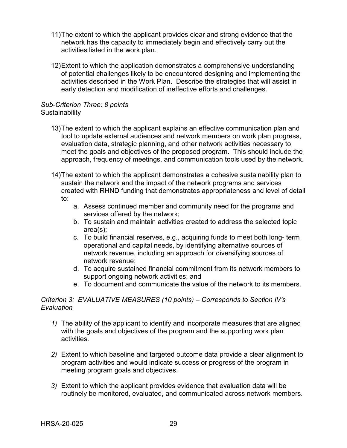- 11)The extent to which the applicant provides clear and strong evidence that the network has the capacity to immediately begin and effectively carry out the activities listed in the work plan.
- 12)Extent to which the application demonstrates a comprehensive understanding of potential challenges likely to be encountered designing and implementing the activities described in the Work Plan. Describe the strategies that will assist in early detection and modification of ineffective efforts and challenges.

#### *Sub-Criterion Three: 8 points* **Sustainability**

- 13)The extent to which the applicant explains an effective communication plan and tool to update external audiences and network members on work plan progress, evaluation data, strategic planning, and other network activities necessary to meet the goals and objectives of the proposed program. This should include the approach, frequency of meetings, and communication tools used by the network.
- 14)The extent to which the applicant demonstrates a cohesive sustainability plan to sustain the network and the impact of the network programs and services created with RHND funding that demonstrates appropriateness and level of detail to:
	- a. Assess continued member and community need for the programs and services offered by the network;
	- b. To sustain and maintain activities created to address the selected topic area(s);
	- c. To build financial reserves, e.g., acquiring funds to meet both long- term operational and capital needs, by identifying alternative sources of network revenue, including an approach for diversifying sources of network revenue;
	- d. To acquire sustained financial commitment from its network members to support ongoing network activities; and
	- e. To document and communicate the value of the network to its members.

## *Criterion 3: EVALUATIVE MEASURES (10 points) – Corresponds to Section IV's Evaluation*

- *1)* The ability of the applicant to identify and incorporate measures that are aligned with the goals and objectives of the program and the supporting work plan activities.
- *2)* Extent to which baseline and targeted outcome data provide a clear alignment to program activities and would indicate success or progress of the program in meeting program goals and objectives.
- *3)* Extent to which the applicant provides evidence that evaluation data will be routinely be monitored, evaluated, and communicated across network members.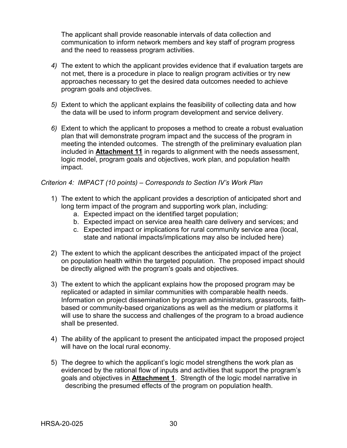The applicant shall provide reasonable intervals of data collection and communication to inform network members and key staff of program progress and the need to reassess program activities.

- *4)* The extent to which the applicant provides evidence that if evaluation targets are not met, there is a procedure in place to realign program activities or try new approaches necessary to get the desired data outcomes needed to achieve program goals and objectives.
- *5)* Extent to which the applicant explains the feasibility of collecting data and how the data will be used to inform program development and service delivery.
- *6)* Extent to which the applicant to proposes a method to create a robust evaluation plan that will demonstrate program impact and the success of the program in meeting the intended outcomes. The strength of the preliminary evaluation plan included in **Attachment 11** in regards to alignment with the needs assessment, logic model, program goals and objectives, work plan, and population health impact.

## *Criterion 4: IMPACT (10 points) – Corresponds to Section IV's Work Plan*

- 1) The extent to which the applicant provides a description of anticipated short and long term impact of the program and supporting work plan, including:
	- a. Expected impact on the identified target population;
	- b. Expected impact on service area health care delivery and services; and
	- c. Expected impact or implications for rural community service area (local, state and national impacts/implications may also be included here)
- 2) The extent to which the applicant describes the anticipated impact of the project on population health within the targeted population. The proposed impact should be directly aligned with the program's goals and objectives.
- 3) The extent to which the applicant explains how the proposed program may be replicated or adapted in similar communities with comparable health needs. Information on project dissemination by program administrators, grassroots, faithbased or community-based organizations as well as the medium or platforms it will use to share the success and challenges of the program to a broad audience shall be presented.
- 4) The ability of the applicant to present the anticipated impact the proposed project will have on the local rural economy.
- 5) The degree to which the applicant's logic model strengthens the work plan as evidenced by the rational flow of inputs and activities that support the program's goals and objectives in **Attachment 1**. Strength of the logic model narrative in describing the presumed effects of the program on population health.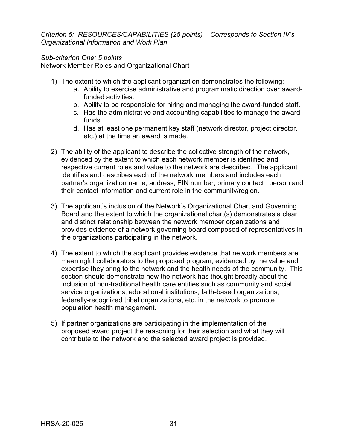*Criterion 5: RESOURCES/CAPABILITIES (25 points) – Corresponds to Section IV's Organizational Information and Work Plan* 

# *Sub-criterion One: 5 points*

Network Member Roles and Organizational Chart

- 1) The extent to which the applicant organization demonstrates the following:
	- a. Ability to exercise administrative and programmatic direction over awardfunded activities.
	- b. Ability to be responsible for hiring and managing the award-funded staff.
	- c. Has the administrative and accounting capabilities to manage the award funds.
	- d. Has at least one permanent key staff (network director, project director, etc.) at the time an award is made.
- 2) The ability of the applicant to describe the collective strength of the network, evidenced by the extent to which each network member is identified and respective current roles and value to the network are described. The applicant identifies and describes each of the network members and includes each partner's organization name, address, EIN number, primary contact person and their contact information and current role in the community/region.
- 3) The applicant's inclusion of the Network's Organizational Chart and Governing Board and the extent to which the organizational chart(s) demonstrates a clear and distinct relationship between the network member organizations and provides evidence of a network governing board composed of representatives in the organizations participating in the network.
- 4) The extent to which the applicant provides evidence that network members are meaningful collaborators to the proposed program, evidenced by the value and expertise they bring to the network and the health needs of the community. This section should demonstrate how the network has thought broadly about the inclusion of non-traditional health care entities such as community and social service organizations, educational institutions, faith-based organizations, federally-recognized tribal organizations, etc. in the network to promote population health management.
- 5) If partner organizations are participating in the implementation of the proposed award project the reasoning for their selection and what they will contribute to the network and the selected award project is provided.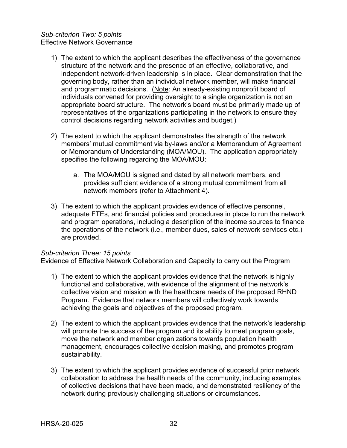## *Sub-criterion Two: 5 points* Effective Network Governance

- 1) The extent to which the applicant describes the effectiveness of the governance structure of the network and the presence of an effective, collaborative, and independent network-driven leadership is in place. Clear demonstration that the governing body, rather than an individual network member, will make financial and programmatic decisions. (Note: An already-existing nonprofit board of individuals convened for providing oversight to a single organization is not an appropriate board structure. The network's board must be primarily made up of representatives of the organizations participating in the network to ensure they control decisions regarding network activities and budget.)
- 2) The extent to which the applicant demonstrates the strength of the network members' mutual commitment via by-laws and/or a Memorandum of Agreement or Memorandum of Understanding (MOA/MOU). The application appropriately specifies the following regarding the MOA/MOU:
	- a. The MOA/MOU is signed and dated by all network members, and provides sufficient evidence of a strong mutual commitment from all network members (refer to Attachment 4).
- 3) The extent to which the applicant provides evidence of effective personnel, adequate FTEs, and financial policies and procedures in place to run the network and program operations, including a description of the income sources to finance the operations of the network (i.e., member dues, sales of network services etc.) are provided.

## *Sub-criterion Three: 15 points*

Evidence of Effective Network Collaboration and Capacity to carry out the Program

- 1) The extent to which the applicant provides evidence that the network is highly functional and collaborative, with evidence of the alignment of the network's collective vision and mission with the healthcare needs of the proposed RHND Program. Evidence that network members will collectively work towards achieving the goals and objectives of the proposed program.
- 2) The extent to which the applicant provides evidence that the network's leadership will promote the success of the program and its ability to meet program goals, move the network and member organizations towards population health management, encourages collective decision making, and promotes program sustainability.
- 3) The extent to which the applicant provides evidence of successful prior network collaboration to address the health needs of the community, including examples of collective decisions that have been made, and demonstrated resiliency of the network during previously challenging situations or circumstances.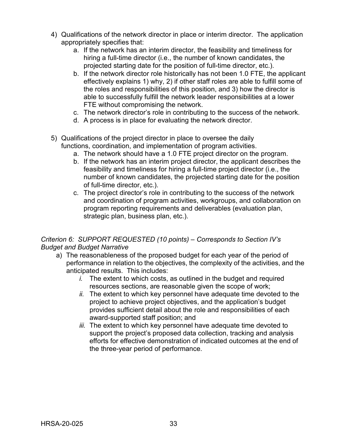- 4) Qualifications of the network director in place or interim director. The application appropriately specifies that:
	- a. If the network has an interim director, the feasibility and timeliness for hiring a full-time director (i.e., the number of known candidates, the projected starting date for the position of full-time director, etc.).
	- b. If the network director role historically has not been 1.0 FTE, the applicant effectively explains 1) why, 2) if other staff roles are able to fulfill some of the roles and responsibilities of this position, and 3) how the director is able to successfully fulfill the network leader responsibilities at a lower FTE without compromising the network.
	- c. The network director's role in contributing to the success of the network.
	- d. A process is in place for evaluating the network director.
- 5) Qualifications of the project director in place to oversee the daily functions, coordination, and implementation of program activities.
	- a. The network should have a 1.0 FTE project director on the program.
	- b. If the network has an interim project director, the applicant describes the feasibility and timeliness for hiring a full-time project director (i.e., the number of known candidates, the projected starting date for the position of full-time director, etc.).
	- c. The project director's role in contributing to the success of the network and coordination of program activities, workgroups, and collaboration on program reporting requirements and deliverables (evaluation plan, strategic plan, business plan, etc.).

# *Criterion 6: SUPPORT REQUESTED (10 points) – Corresponds to Section IV's Budget and Budget Narrative*

- a) The reasonableness of the proposed budget for each year of the period of performance in relation to the objectives, the complexity of the activities, and the anticipated results. This includes:
	- *i.* The extent to which costs, as outlined in the budget and required resources sections, are reasonable given the scope of work;
	- *ii.* The extent to which key personnel have adequate time devoted to the project to achieve project objectives, and the application's budget provides sufficient detail about the role and responsibilities of each award-supported staff position; and
	- *iii.* The extent to which key personnel have adequate time devoted to support the project's proposed data collection, tracking and analysis efforts for effective demonstration of indicated outcomes at the end of the three-year period of performance.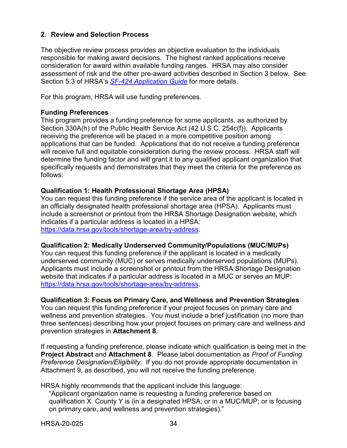# <span id="page-37-0"></span>**2. Review and Selection Process**

The objective review process provides an objective evaluation to the individuals responsible for making award decisions. The highest ranked applications receive consideration for award within available funding ranges. HRSA may also consider assessment of risk and the other pre-award activities described in Section 3 below. See Section 5.3 of HRSA's *SF-424 [Application Guide](http://www.hrsa.gov/grants/apply/applicationguide/sf424guide.pdf)* for more details.

For this program, HRSA will use funding preferences.

#### **Funding Preferences**

This program provides a funding preference for some applicants, as authorized by Section 330A(h) of the Public Health Service Act (42 U.S.C. 254c(f)). Applicants receiving the preference will be placed in a more competitive position among applications that can be funded. Applications that do not receive a funding preference will receive full and equitable consideration during the review process. HRSA staff will determine the funding factor and will grant it to any qualified applicant organization that specifically requests and demonstrates that they meet the criteria for the preference as follows:

## **Qualification 1: Health Professional Shortage Area (HPSA)**

You can request this funding preference if the service area of the applicant is located in an officially designated health professional shortage area (HPSA). Applicants must include a screenshot or printout from the HRSA Shortage Designation website, which indicates if a particular address is located in a HPSA: [https://data.hrsa.gov/tools/shortage-area/by-address.](https://data.hrsa.gov/tools/shortage-area/by-address)

## **Qualification 2: Medically Underserved Community/Populations (MUC/MUPs)**

You can request this funding preference if the applicant is located in a medically underserved community (MUC) or serves medically underserved populations (MUPs). Applicants must include a screenshot or printout from the HRSA Shortage Designation website that indicates if a particular address is located in a MUC or serves an MUP: [https://data.hrsa.gov/tools/shortage-area/by-address.](https://data.hrsa.gov/tools/shortage-area/by-address)

# **Qualification 3: Focus on Primary Care, and Wellness and Prevention Strategies**

You can request this funding preference if your project focuses on primary care and wellness and prevention strategies. You must include a brief justification (no more than three sentences) describing how your project focuses on primary care and wellness and prevention strategies in **Attachment 8**.

If requesting a funding preference, please indicate which qualification is being met in the **Project Abstract** and **Attachment 8**. Please label documentation as *Proof of Funding Preference Designation/Eligibility*. If you do not provide appropriate documentation in Attachment 9, as described, you will not receive the funding preference.

HRSA highly recommends that the applicant include this language:

"Applicant organization name is requesting a funding preference based on qualification X. County Y is (in a designated HPSA; or in a MUC/MUP; or is focusing on primary care, and wellness and prevention strategies)."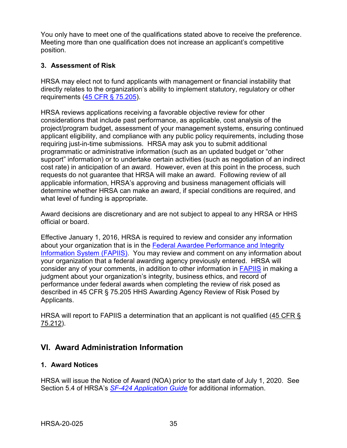You only have to meet one of the qualifications stated above to receive the preference. Meeting more than one qualification does not increase an applicant's competitive position.

# <span id="page-38-0"></span>**3. Assessment of Risk**

HRSA may elect not to fund applicants with management or financial instability that directly relates to the organization's ability to implement statutory, regulatory or other requirements [\(45 CFR § 75.205\)](https://www.ecfr.gov/cgi-bin/retrieveECFR?gp=1&SID=4d52364ec83fab994c665943dadf9cf7&ty=HTML&h=L&r=PART&n=pt45.1.75).

HRSA reviews applications receiving a favorable objective review for other considerations that include past performance, as applicable, cost analysis of the project/program budget, assessment of your management systems, ensuring continued applicant eligibility, and compliance with any public policy requirements, including those requiring just-in-time submissions. HRSA may ask you to submit additional programmatic or administrative information (such as an updated budget or "other support" information) or to undertake certain activities (such as negotiation of an indirect cost rate) in anticipation of an award. However, even at this point in the process, such requests do not guarantee that HRSA will make an award. Following review of all applicable information, HRSA's approving and business management officials will determine whether HRSA can make an award, if special conditions are required, and what level of funding is appropriate.

Award decisions are discretionary and are not subject to appeal to any HRSA or HHS official or board.

Effective January 1, 2016, HRSA is required to review and consider any information about your organization that is in the [Federal Awardee Performance and Integrity](https://www.fapiis.gov/)  [Information System \(FAPIIS\).](https://www.fapiis.gov/) You may review and comment on any information about your organization that a federal awarding agency previously entered. HRSA will consider any of your comments, in addition to other information in [FAPIIS](https://www.fapiis.gov/) in making a judgment about your organization's integrity, business ethics, and record of performance under federal awards when completing the review of risk posed as described in [45 CFR § 75.205 HHS Awarding Agency Review of Risk Posed by](https://www.ecfr.gov/cgi-bin/retrieveECFR?gp=1&SID=4d52364ec83fab994c665943dadf9cf7&ty=HTML&h=L&r=PART&n=pt45.1.75)  [Applicants.](https://www.ecfr.gov/cgi-bin/retrieveECFR?gp=1&SID=4d52364ec83fab994c665943dadf9cf7&ty=HTML&h=L&r=PART&n=pt45.1.75)

HRSA will report to FAPIIS a determination that an applicant is not qualified [\(45 CFR §](https://www.ecfr.gov/cgi-bin/retrieveECFR?gp=1&SID=4d52364ec83fab994c665943dadf9cf7&ty=HTML&h=L&r=PART&n=pt45.1.75)  [75.212\)](https://www.ecfr.gov/cgi-bin/retrieveECFR?gp=1&SID=4d52364ec83fab994c665943dadf9cf7&ty=HTML&h=L&r=PART&n=pt45.1.75).

# <span id="page-38-1"></span>**VI. Award Administration Information**

# <span id="page-38-2"></span>**1. Award Notices**

HRSA will issue the Notice of Award (NOA) prior to the start date of July 1, 2020. See Section 5.4 of HRSA's *SF-424 [Application Guide](http://www.hrsa.gov/grants/apply/applicationguide/sf424guide.pdf)* for additional information.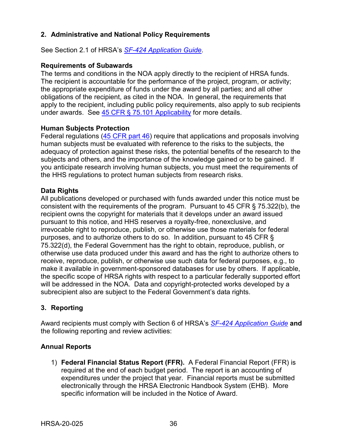# <span id="page-39-0"></span>**2. Administrative and National Policy Requirements**

See Section 2.1 of HRSA's *SF-424 [Application Guide](http://www.hrsa.gov/grants/apply/applicationguide/sf424guide.pdf)*.

#### **Requirements of Subawards**

The terms and conditions in the NOA apply directly to the recipient of HRSA funds. The recipient is accountable for the performance of the project, program, or activity; the appropriate expenditure of funds under the award by all parties; and all other obligations of the recipient, as cited in the NOA. In general, the requirements that apply to the recipient, including public policy requirements, also apply to sub recipients under awards. See [45 CFR § 75.101 Applicability](https://www.ecfr.gov/cgi-bin/retrieveECFR?gp=1&SID=4d52364ec83fab994c665943dadf9cf7&ty=HTML&h=L&r=PART&n=pt45.1.75) for more details.

## **Human Subjects Protection**

Federal regulations [\(45 CFR part 46\)](https://www.ecfr.gov/cgi-bin/text-idx?SID=5ec405e535881de66e6f153cdf4cdcf8&mc=true&node=pt45.1.46&rgn=div5) require that applications and proposals involving human subjects must be evaluated with reference to the risks to the subjects, the adequacy of protection against these risks, the potential benefits of the research to the subjects and others, and the importance of the knowledge gained or to be gained. If you anticipate research involving human subjects, you must meet the requirements of the HHS regulations to protect human subjects from research risks.

#### **Data Rights**

All publications developed or purchased with funds awarded under this notice must be consistent with the requirements of the program. Pursuant to 45 CFR § 75.322(b), the recipient owns the copyright for materials that it develops under an award issued pursuant to this notice, and HHS reserves a royalty-free, nonexclusive, and irrevocable right to reproduce, publish, or otherwise use those materials for federal purposes, and to authorize others to do so. In addition, pursuant to 45 CFR § 75.322(d), the Federal Government has the right to obtain, reproduce, publish, or otherwise use data produced under this award and has the right to authorize others to receive, reproduce, publish, or otherwise use such data for federal purposes, e.g., to make it available in government-sponsored databases for use by others. If applicable, the specific scope of HRSA rights with respect to a particular federally supported effort will be addressed in the NOA. Data and copyright-protected works developed by a subrecipient also are subject to the Federal Government's data rights.

## <span id="page-39-1"></span>**3. Reporting**

Award recipients must comply with Section 6 of HRSA's *SF-424 [Application Guide](http://www.hrsa.gov/grants/apply/applicationguide/sf424guide.pdf)* **and** the following reporting and review activities:

## **Annual Reports**

1) **Federal Financial Status Report (FFR).** A Federal Financial Report (FFR) is required at the end of each budget period. The report is an accounting of expenditures under the project that year. Financial reports must be submitted electronically through the HRSA Electronic Handbook System (EHB). More specific information will be included in the Notice of Award.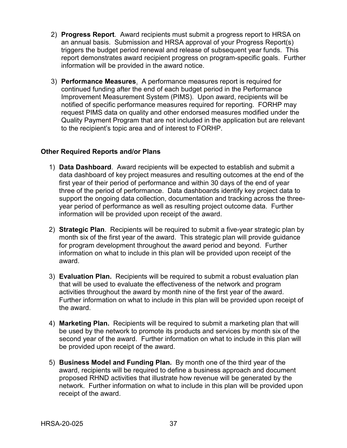- 2) **Progress Report**. Award recipients must submit a progress report to HRSA on an annual basis. Submission and HRSA approval of your Progress Report(s) triggers the budget period renewal and release of subsequent year funds. This report demonstrates award recipient progress on program-specific goals. Further information will be provided in the award notice.
- 3) **Performance Measures**. A performance measures report is required for continued funding after the end of each budget period in the Performance Improvement Measurement System (PIMS). Upon award, recipients will be notified of specific performance measures required for reporting. FORHP may request PIMS data on quality and other endorsed measures modified under the Quality Payment Program that are not included in the application but are relevant to the recipient's topic area and of interest to FORHP.

# **Other Required Reports and/or Plans**

- 1) **Data Dashboard**. Award recipients will be expected to establish and submit a data dashboard of key project measures and resulting outcomes at the end of the first year of their period of performance and within 30 days of the end of year three of the period of performance. Data dashboards identify key project data to support the ongoing data collection, documentation and tracking across the threeyear period of performance as well as resulting project outcome data. Further information will be provided upon receipt of the award.
- 2) **Strategic Plan**. Recipients will be required to submit a five-year strategic plan by month six of the first year of the award. This strategic plan will provide guidance for program development throughout the award period and beyond. Further information on what to include in this plan will be provided upon receipt of the award.
- 3) **Evaluation Plan.** Recipients will be required to submit a robust evaluation plan that will be used to evaluate the effectiveness of the network and program activities throughout the award by month nine of the first year of the award. Further information on what to include in this plan will be provided upon receipt of the award.
- 4) **Marketing Plan.** Recipients will be required to submit a marketing plan that will be used by the network to promote its products and services by month six of the second year of the award. Further information on what to include in this plan will be provided upon receipt of the award.
- 5) **Business Model and Funding Plan.** By month one of the third year of the award, recipients will be required to define a business approach and document proposed RHND activities that illustrate how revenue will be generated by the network. Further information on what to include in this plan will be provided upon receipt of the award.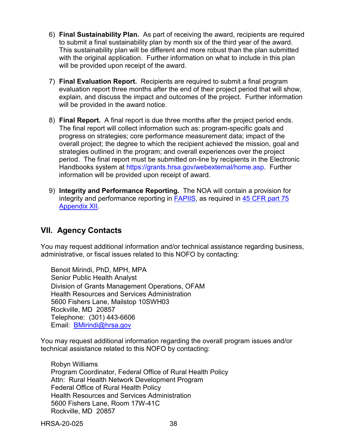- 6) **Final Sustainability Plan.** As part of receiving the award, recipients are required to submit a final sustainability plan by month six of the third year of the award. This sustainability plan will be different and more robust than the plan submitted with the original application. Further information on what to include in this plan will be provided upon receipt of the award.
- 7) **Final Evaluation Report.** Recipients are required to submit a final program evaluation report three months after the end of their project period that will show, explain, and discuss the impact and outcomes of the project. Further information will be provided in the award notice.
- 8) **Final Report.** A final report is due three months after the project period ends. The final report will collect information such as: program-specific goals and progress on strategies; core performance measurement data; impact of the overall project; the degree to which the recipient achieved the mission, goal and strategies outlined in the program; and overall experiences over the project period. The final report must be submitted on-line by recipients in the Electronic Handbooks system at https://grants.hrsa.gov/webexternal/home.asp. Further information will be provided upon receipt of award.
- 9) **Integrity and Performance Reporting.** The NOA will contain a provision for integrity and performance reporting in [FAPIIS,](https://www.fapiis.gov/) as required in [45 CFR part 75](https://www.ecfr.gov/cgi-bin/retrieveECFR?gp=1&SID=4d52364ec83fab994c665943dadf9cf7&ty=HTML&h=L&r=PART&n=pt45.1.75)  [Appendix XII.](https://www.ecfr.gov/cgi-bin/retrieveECFR?gp=1&SID=4d52364ec83fab994c665943dadf9cf7&ty=HTML&h=L&r=PART&n=pt45.1.75)

# <span id="page-41-0"></span>**VII. Agency Contacts**

You may request additional information and/or technical assistance regarding business, administrative, or fiscal issues related to this NOFO by contacting:

Benoit Mirindi, PhD, MPH, MPA Senior Public Health Analyst Division of Grants Management Operations, OFAM Health Resources and Services Administration 5600 Fishers Lane, Mailstop 10SWH03 Rockville, MD 20857 Telephone: (301) 443-6606 Email: [BMirindi@hrsa.gov](mailto:BMirindi@hrsa.gov)

You may request additional information regarding the overall program issues and/or technical assistance related to this NOFO by contacting:

Robyn Williams Program Coordinator, Federal Office of Rural Health Policy Attn: Rural Health Network Development Program Federal Office of Rural Health Policy Health Resources and Services Administration 5600 Fishers Lane, Room 17W-41C Rockville, MD 20857

HRSA-20-025 38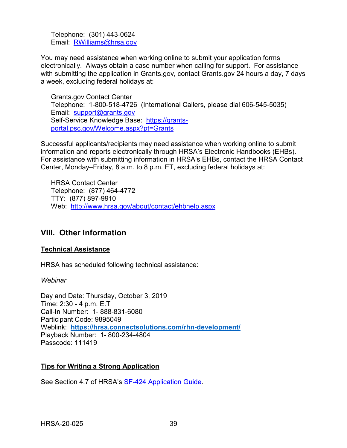Telephone: (301) 443-0624 Email: [RWilliams@hrsa.gov](mailto:RWilliams@hrsa.gov)

You may need assistance when working online to submit your application forms electronically. Always obtain a case number when calling for support. For assistance with submitting the application in Grants.gov, contact Grants.gov 24 hours a day, 7 days a week, excluding federal holidays at:

Grants.gov Contact Center Telephone: 1-800-518-4726 (International Callers, please dial 606-545-5035) Email: [support@grants.gov](mailto:support@grants.gov) Self-Service Knowledge Base: [https://grants](https://grants-portal.psc.gov/Welcome.aspx?pt=Grants)[portal.psc.gov/Welcome.aspx?pt=Grants](https://grants-portal.psc.gov/Welcome.aspx?pt=Grants)

Successful applicants/recipients may need assistance when working online to submit information and reports electronically through HRSA's Electronic Handbooks (EHBs). For assistance with submitting information in HRSA's EHBs, contact the HRSA Contact Center, Monday–Friday, 8 a.m. to 8 p.m. ET, excluding federal holidays at:

HRSA Contact Center Telephone: (877) 464-4772 TTY: (877) 897-9910 Web: <http://www.hrsa.gov/about/contact/ehbhelp.aspx>

# <span id="page-42-0"></span>**VIII. Other Information**

# **Technical Assistance**

HRSA has scheduled following technical assistance:

## *Webinar*

Day and Date: Thursday, October 3, 2019 Time: 2:30 - 4 p.m. E.T Call-In Number: 1- 888-831-6080 Participant Code: 9895049 Weblink: **<https://hrsa.connectsolutions.com/rhn-development/>** Playback Number: 1- 800-234-4804 Passcode: 111419

# **Tips for Writing a Strong Application**

See Section 4.7 of HRSA's [SF-424 Application Guide.](http://www.hrsa.gov/grants/apply/applicationguide/sf424guide.pdf)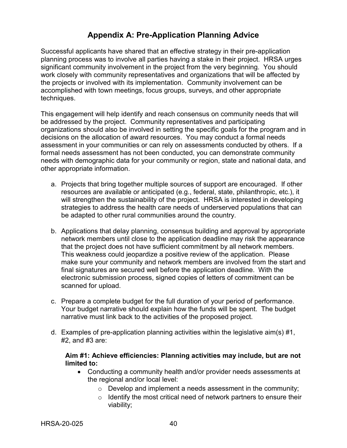# **Appendix A: Pre-Application Planning Advice**

<span id="page-43-0"></span>Successful applicants have shared that an effective strategy in their pre-application planning process was to involve all parties having a stake in their project. HRSA urges significant community involvement in the project from the very beginning. You should work closely with community representatives and organizations that will be affected by the projects or involved with its implementation. Community involvement can be accomplished with town meetings, focus groups, surveys, and other appropriate techniques.

This engagement will help identify and reach consensus on community needs that will be addressed by the project. Community representatives and participating organizations should also be involved in setting the specific goals for the program and in decisions on the allocation of award resources. You may conduct a formal needs assessment in your communities or can rely on assessments conducted by others. If a formal needs assessment has not been conducted, you can demonstrate community needs with demographic data for your community or region, state and national data, and other appropriate information.

- a. Projects that bring together multiple sources of support are encouraged. If other resources are available or anticipated (e.g., federal, state, philanthropic, etc.), it will strengthen the sustainability of the project. HRSA is interested in developing strategies to address the health care needs of underserved populations that can be adapted to other rural communities around the country.
- b. Applications that delay planning, consensus building and approval by appropriate network members until close to the application deadline may risk the appearance that the project does not have sufficient commitment by all network members. This weakness could jeopardize a positive review of the application. Please make sure your community and network members are involved from the start and final signatures are secured well before the application deadline. With the electronic submission process, signed copies of letters of commitment can be scanned for upload.
- c. Prepare a complete budget for the full duration of your period of performance. Your budget narrative should explain how the funds will be spent. The budget narrative must link back to the activities of the proposed project.
- d. Examples of pre-application planning activities within the legislative aim(s) #1, #2, and #3 are:

#### **Aim #1: Achieve efficiencies: Planning activities may include, but are not limited to:**

- Conducting a community health and/or provider needs assessments at the regional and/or local level:
	- o Develop and implement a needs assessment in the community;
	- $\circ$  Identify the most critical need of network partners to ensure their viability;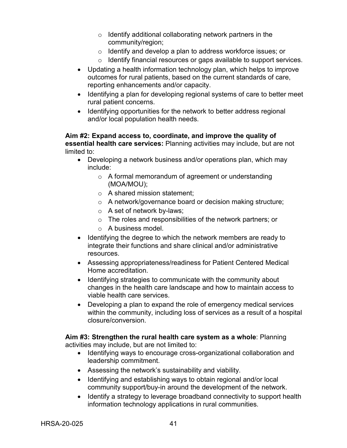- $\circ$  Identify additional collaborating network partners in the community/region;
- o Identify and develop a plan to address workforce issues; or
- o Identify financial resources or gaps available to support services.
- Updating a health information technology plan, which helps to improve outcomes for rural patients, based on the current standards of care, reporting enhancements and/or capacity.
- Identifying a plan for developing regional systems of care to better meet rural patient concerns.
- Identifying opportunities for the network to better address regional and/or local population health needs.

#### **Aim #2: Expand access to, coordinate, and improve the quality of essential health care services:** Planning activities may include, but are not limited to:

- Developing a network business and/or operations plan, which may include:
	- o A formal memorandum of agreement or understanding (MOA/MOU);
	- o A shared mission statement;
	- o A network/governance board or decision making structure;
	- o A set of network by-laws;
	- o The roles and responsibilities of the network partners; or
	- o A business model.
- Identifying the degree to which the network members are ready to integrate their functions and share clinical and/or administrative resources.
- Assessing appropriateness/readiness for Patient Centered Medical Home accreditation.
- Identifying strategies to communicate with the community about changes in the health care landscape and how to maintain access to viable health care services.
- Developing a plan to expand the role of emergency medical services within the community, including loss of services as a result of a hospital closure/conversion.

## **Aim #3: Strengthen the rural health care system as a whole**: Planning activities may include, but are not limited to:

- Identifying ways to encourage cross-organizational collaboration and leadership commitment.
- Assessing the network's sustainability and viability.
- Identifying and establishing ways to obtain regional and/or local community support/buy-in around the development of the network.
- Identify a strategy to leverage broadband connectivity to support health information technology applications in rural communities.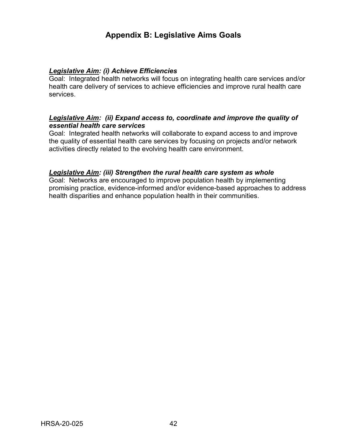# **Appendix B: Legislative Aims Goals**

# <span id="page-45-0"></span>*Legislative Aim: (i) Achieve Efficiencies*

Goal: Integrated health networks will focus on integrating health care services and/or health care delivery of services to achieve efficiencies and improve rural health care services.

# *Legislative Aim: (ii) Expand access to, coordinate and improve the quality of essential health care services*

Goal: Integrated health networks will collaborate to expand access to and improve the quality of essential health care services by focusing on projects and/or network activities directly related to the evolving health care environment.

## *Legislative Aim: (iii) Strengthen the rural health care system as whole*

Goal: Networks are encouraged to improve population health by implementing promising practice, evidence-informed and/or evidence-based approaches to address health disparities and enhance population health in their communities.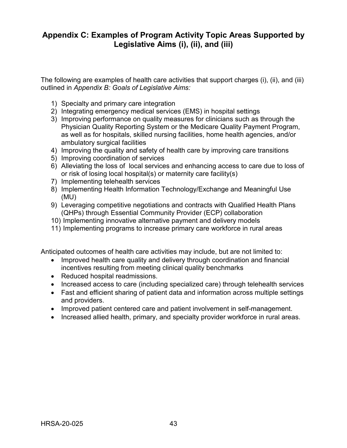# <span id="page-46-0"></span>**Appendix C: Examples of Program Activity Topic Areas Supported by Legislative Aims (i), (ii), and (iii)**

The following are examples of health care activities that support charges (i), (ii), and (iii) outlined in *Appendix B: Goals of Legislative Aims:*

- 1) Specialty and primary care integration
- 2) Integrating emergency medical services (EMS) in hospital settings
- 3) Improving performance on quality measures for clinicians such as through the Physician Quality Reporting System or the Medicare Quality Payment Program, as well as for hospitals, skilled nursing facilities, home health agencies, and/or ambulatory surgical facilities
- 4) Improving the quality and safety of health care by improving care transitions
- 5) Improving coordination of services
- 6) Alleviating the loss of local services and enhancing access to care due to loss of or risk of losing local hospital(s) or maternity care facility(s)
- 7) Implementing telehealth services
- 8) Implementing Health Information Technology/Exchange and Meaningful Use (MU)
- 9) Leveraging competitive negotiations and contracts with Qualified Health Plans (QHPs) through Essential Community Provider (ECP) collaboration
- 10) Implementing innovative alternative payment and delivery models
- 11) Implementing programs to increase primary care workforce in rural areas

Anticipated outcomes of health care activities may include, but are not limited to:

- Improved health care quality and delivery through coordination and financial incentives resulting from meeting clinical quality benchmarks
- Reduced hospital readmissions.
- Increased access to care (including specialized care) through telehealth services
- Fast and efficient sharing of patient data and information across multiple settings and providers.
- Improved patient centered care and patient involvement in self-management.
- Increased allied health, primary, and specialty provider workforce in rural areas.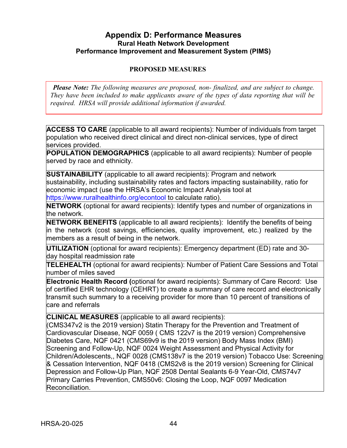# <span id="page-47-0"></span>**Appendix D: Performance Measures Rural Heath Network Development Performance Improvement and Measurement System (PIMS)**

# **PROPOSED MEASURES**

*Please Note: The following measures are proposed, non- finalized, and are subject to change. They have been included to make applicants aware of the types of data reporting that will be required. HRSA will provide additional information if awarded.*

**ACCESS TO CARE** (applicable to all award recipients): Number of individuals from target population who received direct clinical and direct non-clinical services, type of direct services provided.

**POPULATION DEMOGRAPHICS** (applicable to all award recipients): Number of people served by race and ethnicity.

**SUSTAINABILITY** (applicable to all award recipients): Program and network sustainability, including sustainability rates and factors impacting sustainability, ratio for economic impact (use the HRSA's Economic Impact Analysis tool at https:/[/www.ruralhealthinfo.org/econtool t](http://www.ruralhealthinfo.org/econtool)o calculate ratio).

**NETWORK** (optional for award recipients): Identify types and number of organizations in the network.

**NETWORK BENEFITS** (applicable to all award recipients): Identify the benefits of being in the network (cost savings, efficiencies, quality improvement, etc.) realized by the members as a result of being in the network.

**UTILIZATION** (optional for award recipients): Emergency department (ED) rate and 30 day hospital readmission rate

**TELEHEALTH** (optional for award recipients): Number of Patient Care Sessions and Total number of miles saved

**Electronic Health Record (**optional for award recipients): Summary of Care Record: Use of certified EHR technology (CEHRT) to create a summary of care record and electronically transmit such summary to a receiving provider for more than 10 percent of transitions of care and referrals

**CLINICAL MEASURES** (applicable to all award recipients):

(CMS347v2 is the 2019 version) Statin Therapy for the Prevention and Treatment of Cardiovascular Disease, NQF 0059 ( CMS 122v7 is the 2019 version) Comprehensive Diabetes Care, NQF 0421 (CMS69v9 is the 2019 version) Body Mass Index (BMI) Screening and Follow-Up, NQF 0024 Weight Assessment and Physical Activity for Children/Adolescents,, NQF 0028 (CMS138v7 is the 2019 version) Tobacco Use: Screening & Cessation Intervention, NQF 0418 (CMS2v8 is the 2019 version) Screening for Clinical Depression and Follow-Up Plan, NQF 2508 Dental Sealants 6-9 Year-Old, CMS74v7 Primary Carries Prevention, CMS50v6: Closing the Loop, NQF 0097 Medication Reconciliation.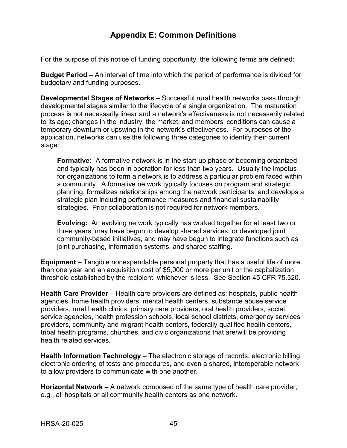# **Appendix E: Common Definitions**

<span id="page-48-0"></span>For the purpose of this notice of funding opportunity, the following terms are defined:

**Budget Period –** An interval of time into which the period of performance is divided for budgetary and funding purposes.

**Developmental Stages of Networks –** Successful rural health networks pass through developmental stages similar to the lifecycle of a single organization. The maturation process is not necessarily linear and a network's effectiveness is not necessarily related to its age; changes in the industry, the market, and members' conditions can cause a temporary downturn or upswing in the network's effectiveness. For purposes of the application, networks can use the following three categories to identify their current stage:

**Formative:** A formative network is in the start-up phase of becoming organized and typically has been in operation for less than two years. Usually the impetus for organizations to form a network is to address a particular problem faced within a community. A formative network typically focuses on program and strategic planning, formalizes relationships among the network participants, and develops a strategic plan including performance measures and financial sustainability strategies. Prior collaboration is not required for network members.

**Evolving:** An evolving network typically has worked together for at least two or three years, may have begun to develop shared services, or developed joint community-based initiatives, and may have begun to integrate functions such as joint purchasing, information systems, and shared staffing.

**Equipment** – Tangible nonexpendable personal property that has a useful life of more than one year and an acquisition cost of \$5,000 or more per unit or the capitalization threshold established by the recipient, whichever is less. See Section 45 CFR 75.320.

**Health Care Provider** – Health care providers are defined as: hospitals, public health agencies, home health providers, mental health centers, substance abuse service providers, rural health clinics, primary care providers, oral health providers, social service agencies, health profession schools, local school districts, emergency services providers, community and migrant health centers, federally-qualified health centers, tribal health programs, churches, and civic organizations that are/will be providing health related services.

**Health Information Technology** – The electronic storage of records, electronic billing, electronic ordering of tests and procedures, and even a shared, interoperable network to allow providers to communicate with one another.

**Horizontal Network** – A network composed of the same type of health care provider, e.g., all hospitals or all community health centers as one network.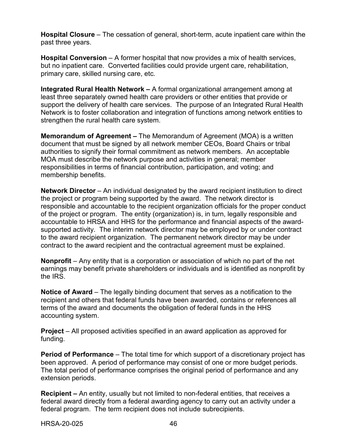**Hospital Closure** – The cessation of general, short-term, acute inpatient care within the past three years.

**Hospital Conversion** – A former hospital that now provides a mix of health services, but no inpatient care. Converted facilities could provide urgent care, rehabilitation, primary care, skilled nursing care, etc.

**Integrated Rural Health Network –** A formal organizational arrangement among at least three separately owned health care providers or other entities that provide or support the delivery of health care services. The purpose of an Integrated Rural Health Network is to foster collaboration and integration of functions among network entities to strengthen the rural health care system.

**Memorandum of Agreement –** The Memorandum of Agreement (MOA) is a written document that must be signed by all network member CEOs, Board Chairs or tribal authorities to signify their formal commitment as network members. An acceptable MOA must describe the network purpose and activities in general; member responsibilities in terms of financial contribution, participation, and voting; and membership benefits.

**Network Director** – An individual designated by the award recipient institution to direct the project or program being supported by the award. The network director is responsible and accountable to the recipient organization officials for the proper conduct of the project or program. The entity (organization) is, in turn, legally responsible and accountable to HRSA and HHS for the performance and financial aspects of the awardsupported activity. The interim network director may be employed by or under contract to the award recipient organization. The permanent network director may be under contract to the award recipient and the contractual agreement must be explained.

**Nonprofit** – Any entity that is a corporation or association of which no part of the net earnings may benefit private shareholders or individuals and is identified as nonprofit by the IRS.

**Notice of Award** – The legally binding document that serves as a notification to the recipient and others that federal funds have been awarded, contains or references all terms of the award and documents the obligation of federal funds in the HHS accounting system.

**Project** – All proposed activities specified in an award application as approved for funding.

**Period of Performance** – The total time for which support of a discretionary project has been approved. A period of performance may consist of one or more budget periods. The total period of performance comprises the original period of performance and any extension periods.

**Recipient –** An entity, usually but not limited to non-federal entities, that receives a federal award directly from a federal awarding agency to carry out an activity under a federal program. The term recipient does not include subrecipients.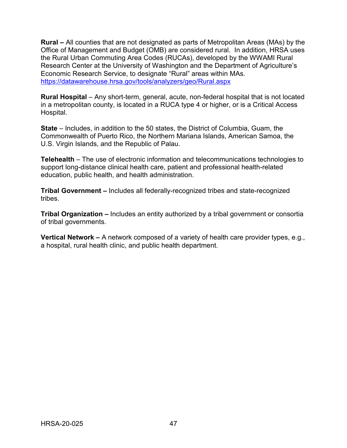**Rural –** All counties that are not designated as parts of Metropolitan Areas (MAs) by the Office of Management and Budget (OMB) are considered rural. In addition, HRSA uses the Rural Urban Commuting Area Codes (RUCAs), developed by the WWAMI Rural Research Center at the University of Washington and the Department of Agriculture's Economic Research Service, to designate "Rural" areas within MAs. <https://datawarehouse.hrsa.gov/tools/analyzers/geo/Rural.aspx>

**Rural Hospital** – Any short-term, general, acute, non-federal hospital that is not located in a metropolitan county, is located in a RUCA type 4 or higher, or is a Critical Access Hospital.

**State** – Includes, in addition to the 50 states, the District of Columbia, Guam, the Commonwealth of Puerto Rico, the Northern Mariana Islands, American Samoa, the U.S. Virgin Islands, and the Republic of Palau.

**Telehealth** – The use of electronic information and telecommunications technologies to support long-distance clinical health care, patient and professional health-related education, public health, and health administration.

**Tribal Government –** Includes all federally-recognized tribes and state-recognized tribes.

**Tribal Organization –** Includes an entity authorized by a tribal government or consortia of tribal governments.

**Vertical Network –** A network composed of a variety of health care provider types, e.g., a hospital, rural health clinic, and public health department.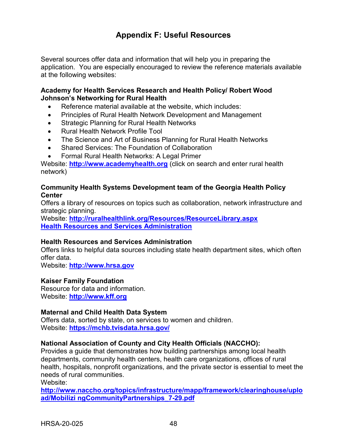# **Appendix F: Useful Resources**

<span id="page-51-0"></span>Several sources offer data and information that will help you in preparing the application. You are especially encouraged to review the reference materials available at the following websites:

### **Academy for Health Services Research and Health Policy/ Robert Wood Johnson's Networking for Rural Health**

- Reference material available at the website, which includes:
- Principles of Rural Health Network Development and Management
- Strategic Planning for Rural Health Networks
- Rural Health Network Profile Tool
- The Science and Art of Business Planning for Rural Health Networks
- Shared Services: The Foundation of Collaboration
- Formal Rural Health Networks: A Legal Primer

Website: **[http://www.academyhealth.org](http://www.academyhealth.org/)** (click on search and enter rural health network)

#### **Community Health Systems Development team of the Georgia Health Policy Center**

Offers a library of resources on topics such as collaboration, network infrastructure and strategic planning.

Website: **<http://ruralhealthlink.org/Resources/ResourceLibrary.aspx> [Health Resources and Services Administration](http://ruralhealthlink.org/Resources/ResourceLibrary.aspx)** 

## **Health Resources and Services Administration**

Offers links to helpful data sources including state health department sites, which often offer data.

Website: **[http://www.hrsa.gov](http://www.hrsa.gov/)**

## **Kaiser Family Foundation**

Resource for data and information. Website: **[http://www.kff.org](http://www.kff.org/)**

## **Maternal and Child Health Data System**

Offers data, sorted by state, on services to women and children. Website: **<https://mchb.tvisdata.hrsa.gov/>**

## **National Association of County and City Health Officials (NACCHO):**

Provides a guide that demonstrates how building partnerships among local health departments, community health centers, health care organizations, offices of rural health, hospitals, nonprofit organizations, and the private sector is essential to meet the needs of rural communities.

Website:

**[http://www.naccho.org/topics/infrastructure/mapp/framework/clearinghouse/uplo](http://www.naccho.org/topics/infrastructure/mapp/framework/clearinghouse/upload/Mobilizi%20ngCommunityPartnerships_7-29.pdf) [ad/Mobilizi ngCommunityPartnerships\\_7-29.pdf](http://www.naccho.org/topics/infrastructure/mapp/framework/clearinghouse/upload/Mobilizi%20ngCommunityPartnerships_7-29.pdf)**